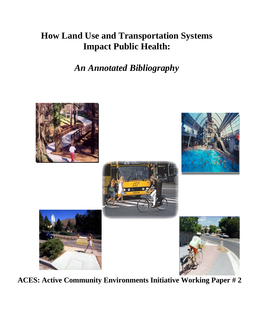# **How Land Use and Transportation Systems Impact Public Health:**

*An Annotated Bibliography*



**ACES: Active Community Environments Initiative Working Paper # 2**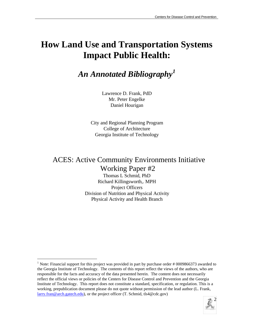# **How Land Use and Transportation Systems Impact Public Health:**

*An Annotated Bibliography<sup>1</sup>*

Lawrence D. Frank, PdD Mr. Peter Engelke Daniel Hourigan

City and Regional Planning Program College of Architecture Georgia Institute of Technology

# ACES: Active Community Environments Initiative Working Paper #2

Thomas L Schmid, PhD Richard Killingsworth,. MPH Project Officers Division of Nutrition and Physical Activity Physical Activity and Health Branch

 $\overline{a}$ 



<sup>&</sup>lt;sup>1</sup> Note: Financial support for this project was provided in part by purchase order  $#0009866373$  awarded to the Georgia Institute of Technology. The contents of this report reflect the views of the authors, who are responsible for the facts and accuracy of the data presented herein. The content does not necessarily reflect the official views or policies of the Centers for Disease Control and Prevention and the Georgia Institute of Technology. This report does not constitute a standard, specification, or regulation. This is a working, prepublication document please do not quote without permission of the lead author (L. Frank, larry.fran@arch.gatech.edu), or the project officer (T. Schmid, tls4@cdc.gov)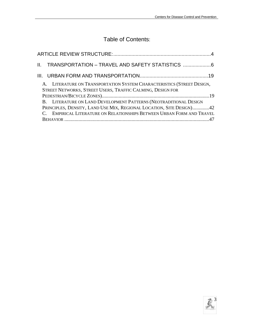## Table of Contents:

| II. TRANSPORTATION – TRAVEL AND SAFETY STATISTICS 6                                                                                                                                                                 |
|---------------------------------------------------------------------------------------------------------------------------------------------------------------------------------------------------------------------|
|                                                                                                                                                                                                                     |
| A. LITERATURE ON TRANSPORTATION SYSTEM CHARACTERISTICS (STREET DESIGN,<br>STREET NETWORKS, STREET USERS, TRAFFIC CALMING, DESIGN FOR                                                                                |
| B. LITERATURE ON LAND DEVELOPMENT PATTERNS (NEOTRADITIONAL DESIGN<br>PRINCIPLES, DENSITY, LAND USE MIX, REGIONAL LOCATION, SITE DESIGN)42<br>C. EMPIRICAL LITERATURE ON RELATIONSHIPS BETWEEN URBAN FORM AND TRAVEL |

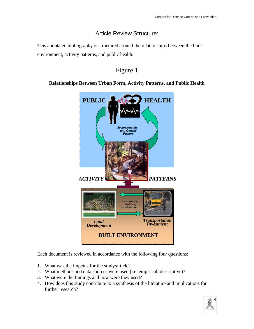## Article Review Structure:

This annotated bibliography is structured around the relationships between the built environment, activity patterns, and public health.

## Figure 1

#### **Relationships Between Urban Form, Activity Patterns, and Public Health**



Each document is reviewed in accordance with the following four questions:

- 1. What was the impetus for the study/article?
- 2. What methods and data sources were used (i.e. empirical, descriptive)?
- 3. What were the findings and how were they used?
- 4. How does this study contribute to a synthesis of the literature and implications for further research?

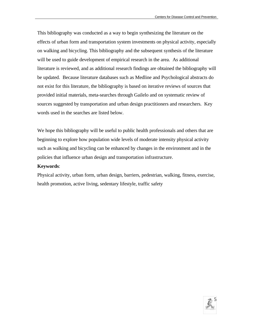This bibliography was conducted as a way to begin synthesizing the literature on the effects of urban form and transportation system investments on physical activity, especially on walking and bicycling. This bibliography and the subsequent synthesis of the literature will be used to guide development of empirical research in the area. As additional literature is reviewed, and as additional research findings are obtained the bibliography will be updated. Because literature databases such as Medline and Psychological abstracts do not exist for this literature, the bibliography is based on iterative reviews of sources that provided initial materials, meta-searches through Gailelo and on systematic review of sources suggested by transportation and urban design practitioners and researchers. Key words used in the searches are listed below.

We hope this bibliography will be useful to public health professionals and others that are beginning to explore how population wide levels of moderate intensity physical activity such as walking and bicycling can be enhanced by changes in the environment and in the policies that influence urban design and transportation infrastructure.

#### **Keywords**:

Physical activity, urban form, urban design, barriers, pedestrian, walking, fitness, exercise, health promotion, active living, sedentary lifestyle, traffic safety

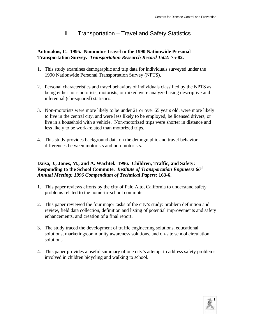### II. Transportation – Travel and Safety Statistics

#### **Antonakos, C. 1995. Nonmotor Travel in the 1990 Nationwide Personal Transportation Survey.** *Transportation Research Record 1502***: 75-82.**

- 1. This study examines demographic and trip data for individuals surveyed under the 1990 Nationwide Personal Transportation Survey (NPTS).
- 2. Personal characteristics and travel behaviors of individuals classified by the NPTS as being either non-motorists, motorists, or mixed were analyzed using descriptive and inferential (chi-squared) statistics.
- 3. Non-motorists were more likely to be under 21 or over 65 years old, were more likely to live in the central city, and were less likely to be employed, be licensed drivers, or live in a household with a vehicle. Non-motorized trips were shorter in distance and less likely to be work-related than motorized trips.
- 4. This study provides background data on the demographic and travel behavior differences between motorists and non-motorists.

#### **Daisa, J., Jones, M., and A. Wachtel. 1996. Children, Traffic, and Safety: Responding to the School Commute.** *Institute of Transportation Engineers 66th Annual Meeting: 1996 Compendium of Technical Papers***: 163-6.**

- 1. This paper reviews efforts by the city of Palo Alto, California to understand safety problems related to the home-to-school commute.
- 2. This paper reviewed the four major tasks of the city's study: problem definition and review, field data collection, definition and listing of potential improvements and safety enhancements, and creation of a final report.
- 3. The study traced the development of traffic engineering solutions, educational solutions, marketing/community awareness solutions, and on-site school circulation solutions.
- 4. This paper provides a useful summary of one city's attempt to address safety problems involved in children bicycling and walking to school.

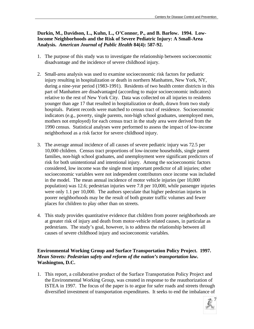#### **Durkin, M., Davidson, L., Kuhn, L., O'Connor, P., and B. Barlow. 1994. Low-Income Neighborhoods and the Risk of Severe Pediatric Injury: A Small-Area Analysis.** *American Journal of Public Health* **84(4): 587-92.**

- 1. The purpose of this study was to investigate the relationship between socioeconomic disadvantage and the incidence of severe childhood injury.
- 2. Small-area analysis was used to examine socioeconomic risk factors for pediatric injury resulting in hospitalization or death in northern Manhatten, New York, NY, during a nine-year period (1983-1991). Residents of two health center districts in this part of Manhatten are disadvantaged (according to major socioeconomic indicators) relative to the rest of New York City. Data was collected on all injuries to residents younger than age 17 that resulted in hospitalization or death, drawn from two study hospitals. Patient records were matched to census tract of residence. Socioeconomic indicators (e.g., poverty, single parents, non-high school graduates, unemployed men, mothers not employed) for each census tract in the study area were derived from the 1990 census. Statistical analyses were performed to assess the impact of low-income neighborhood as a risk factor for severe childhood injury.
- 3. The average annual incidence of all causes of severe pediatric injury was 72.5 per 10,000 children. Census tract proportions of low-income households, single parent families, non-high school graduates, and unemployment were significant predictors of risk for both unintentional and intentional injury. Among the socioeconomic factors considered, low income was the single most important predictor of all injuries; other socioeconomic variables were not independent contributors once income was included in the model. The mean annual incidence of motor vehicle injuries (per 10,000 population) was 12.6; pedestrian injuries were 7.8 per 10,000, while passenger injuries were only 1.1 per 10,000. The authors speculate that higher pedestrian injuries in poorer neighborhoods may be the result of both greater traffic volumes and fewer places for children to play other than on streets.
- 4. This study provides quantitative evidence that children from poorer neighborhoods are at greater risk of injury and death from motor-vehicle related causes, in particular as pedestrians. The study's goal, however, is to address the relationship between all causes of severe childhood injury and socioeconomic variables.

#### **Environmental Working Group and Surface Transportation Policy Project. 1997.**  *Mean Streets: Pedestrian safety and reform of the nation's transportation law***. Washington, D.C.**

1. This report, a collaborative product of the Surface Transportation Policy Project and the Environmental Working Group, was created in response to the reauthorization of ISTEA in 1997. The focus of the paper is to argue for safer roads and streets through diversified investment of transportation expenditures. It seeks to end the imbalance of

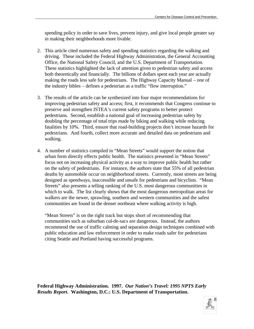spending policy in order to save lives, prevent injury, and give local people greater say in making their neighborhoods more livable.

- 2. This article cited numerous safety and spending statistics regarding the walking and driving. These included the Federal Highway Administration, the General Accounting Office, the National Safety Council, and the U.S. Department of Transportation. These statistics highlighted the lack of attention given to pedestrian safety and access both theoretically and financially. The billions of dollars spent each year are actually making the roads less safe for pedestrians. The Highway Capacity Manual – one of the industry bibles – defines a pedestrian as a traffic "flow interruption."
- 3. The results of the article can be synthesized into four major recommendations for improving pedestrian safety and access; first, it recommends that Congress continue to preserve and strengthen ISTEA's current safety programs to better protect pedestrians. Second, establish a national goal of increasing pedestrian safety by doubling the percentage of total trips made by biking and walking while reducing fatalities by 10%. Third, ensure that road-building projects don't increase hazards for pedestrians. And fourth, collect more accurate and detailed data on pedestrians and walking.
- 4. A number of statistics compiled in "Mean Streets" would support the notion that urban form directly effects public health. The statistics presented in "Mean Streets" focus not on increasing physical activity as a way to improve public health but rather on the safety of pedestrians. For instance, the authors state that 55% of all pedestrian deaths by automobile occur on neighborhood streets. Currently, most streets are being designed as speedways, inaccessible and unsafe for pedestrians and bicyclists. "Mean Streets" also presents a telling ranking of the U.S. most dangerous communities in which to walk. The list clearly shows that the most dangerous metropolitan areas for walkers are the newer, sprawling, southern and western communities and the safest communities are found in the denser northeast where walking activity is high.

"Mean Streets" is on the right track but stops short of recommending that communities such as suburban cul-de-sacs are dangerous. Instead, the authors recommend the use of traffic calming and separation design techniques combined with public education and law enforcement in order to make roads safer for pedestrians citing Seattle and Portland having successful programs.

**Federal Highway Administration. 1997.** *Our Nation's Travel: 1995 NPTS Early Results Report***. Washington, D.C.: U.S. Department of Transportation.**

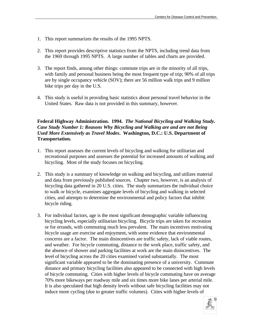- 1. This report summarizes the results of the 1995 NPTS.
- 2. This report provides descriptive statistics from the NPTS, including trend data from the 1969 through 1995 NPTS. A large number of tables and charts are provided.
- 3. The report finds, among other things: commute trips are in the minority of all trips, with family and personal business being the most frequent type of trip; 90% of all trips are by single occupancy vehicle (SOV); there are 56 million walk trips and 9 million bike trips per day in the U.S.
- 4. This study is useful in providing basic statistics about personal travel behavior in the United States. Raw data is not provided in this summary, however.

#### **Federal Highway Administration. 1994.** *The National Bicycling and Walking Study. Case Study Number 1: Reasons Why Bicycling and Walking are and are not Being Used More Extensively as Travel Modes***. Washington, D.C.: U.S. Department of Transportation.**

- 1. This report assesses the current levels of bicycling and walking for utilitarian and recreational purposes and assesses the potential for increased amounts of walking and bicycling. Most of the study focuses on bicycling.
- 2. This study is a summary of knowledge on walking and bicycling, and utilizes material and data from previously published sources. Chapter two, however, is an analysis of bicycling data gathered in 20 U.S. cities. The study summarizes the individual choice to walk or bicycle, examines aggregate levels of bicycling and walking in selected cities, and attempts to determine the environmental and policy factors that inhibit bicycle riding.
- 3. For individual factors, age is the most significant demographic variable influencing bicycling levels, especially utilitarian bicycling. Bicycle trips are taken for recreation or for errands, with commuting much less prevalent. The main incentives motivating bicycle usage are exercise and enjoyment, with some evidence that environmental concerns are a factor. The main disincentives are traffic safety, lack of viable routes, and weather. For bicycle commuting, distance to the work place, traffic safety, and the absence of shower and parking facilities at work are the main disincentives. The level of bicycling across the 20 cities examined varied substantially. The most significant variable appeared to be the dominating presence of a university. Commute distance and primary bicycling facilities also appeared to be connected with high levels of bicycle commuting. Cities with higher levels of bicycle commuting have on average 70% more bikeways per roadway mile and six times more bike lanes per arterial mile. It is also speculated that high density levels without safe bicycling facilities may not induce more cycling (due to greater traffic volumes). Cities with higher levels of

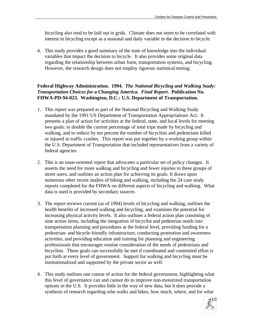bicycling also tend to be laid out in grids. Climate does not seem to be correlated with interest in bicycling except as a seasonal and daily variable in the decision to bicycle.

4. This study provides a good summary of the state of knowledge into the individual variables that impact the decision to bicycle. It also provides some original data regarding the relationship between urban form, transportation systems, and bicycling. However, the research design does not employ rigorous statistical testing.

#### **Federal Highway Administration. 1994.** *The National Bicycling and Walking Study: Transportation Choices for a Changing America. Final Report***. Publication No. FHWA-PD-94-023. Washington, D.C.: U.S. Department of Transportation.**

- 1. This report was prepared as part of the National Bicycling and Walking Study mandated by the 1991 US Department of Transportation Appropriations Act. It presents a plan of action for activities at the federal, state, and local levels for meeting two goals: to double the current percentage of total trips made by bicycling and walking, and to reduce by ten percent the number of bicyclists and pedestrians killed or injured in traffic crashes. This report was put together by a working group within the U.S. Department of Transportation that included representatives from a variety of federal agencies.
- 2. This is an issue-oriented report that advocates a particular set of policy changes. It asserts the need for more walking and bicycling and fewer injuries to these groups of street users, and outlines an action plan for achieving its goals. It draws upon numerous other recent studies of biking and walking, including the 24 case study reports completed for the FHWA on different aspects of bicycling and walking. What data is used is provided by secondary sources.
- 3. The report reviews current (as of 1994) levels of bicycling and walking, outlines the health benefits of increased walking and bicycling, and examines the potential for increasing physical activity levels. It also outlines a federal action plan consisting of nine action items, including the integration of bicyclist and pedestrian needs into transportation planning and procedures at the federal level, providing funding for a pedestrian- and bicycle-friendly infrastructure, conducting promotion and awareness activities, and providing education and training for planning and engineering professionals that encourages routine consideration of the needs of pedestrians and bicyclists. These goals can successfully be met if coordinated and committed effort is put forth at every level of government. Support for walking and bicycling must be institutionalized and supported by the private sector as well.
- 4. This study outlines one course of action for the federal government, highlighting what this level of governance can and cannot do to improve non-motorized transportation options in the U.S. It provides little in the way of new data, but it does provide a synthesis of research regarding who walks and bikes, how much, where, and for what

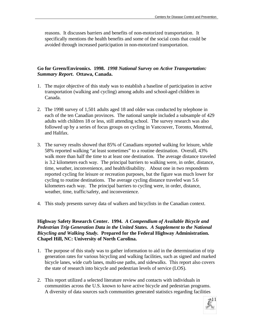reasons. It discusses barriers and benefits of non-motorized transportation. It specifically mentions the health benefits and some of the social costs that could be avoided through increased participation in non-motorized transportation.

#### **Go for Green/Environics. 1998.** *1998 National Survey on Active Transportation: Summary Report***. Ottawa, Canada.**

- 1. The major objective of this study was to establish a baseline of participation in active transportation (walking and cycling) among adults and school-aged children in Canada.
- 2. The 1998 survey of 1,501 adults aged 18 and older was conducted by telephone in each of the ten Canadian provinces. The national sample included a subsample of 429 adults with children 18 or less, still attending school. The survey research was also followed up by a series of focus groups on cycling in Vancouver, Toronto, Montreal, and Halifax.
- 3. The survey results showed that 85% of Canadians reported walking for leisure, while 58% reported walking "at least sometimes" to a routine destination. Overall, 43% walk more than half the time to at least one destination. The average distance traveled is 3.2 kilometers each way. The principal barriers to walking were, in order, distance, time, weather, inconvenience, and health/disability. About one in two respondents reported cycling for leisure or recreation purposes, but the figure was much lower for cycling to routine destinations. The average cycling distance traveled was 5.6 kilometers each way. The principal barriers to cycling were, in order, distance, weather, time, traffic/safety, and inconvenience.
- 4. This study presents survey data of walkers and bicyclists in the Canadian context.

**Highway Safety Research Center. 1994.** *A Compendium of Available Bicycle and Pedestrian Trip Generation Data in the United States. A Supplement to the National Bicycling and Walking Study.* **Prepared for the Federal Highway Administration. Chapel Hill, NC: University of North Carolina.**

- 1. The purpose of this study was to gather information to aid in the determination of trip generation rates for various bicycling and walking facilities, such as signed and marked bicycle lanes, wide curb lanes, multi-use paths, and sidewalks. This report also covers the state of research into bicycle and pedestrian levels of service (LOS).
- 2. This report utilized a selected literature review and contacts with individuals in communities across the U.S. known to have active bicycle and pedestrian programs. A diversity of data sources such communities generated statistics regarding facilities

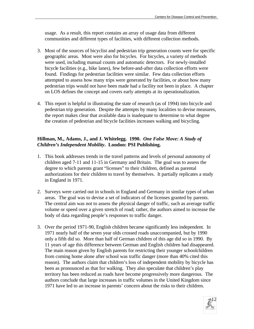usage. As a result, this report contains an array of usage data from different communities and different types of facilities, with different collection methods.

- 3. Most of the sources of bicyclist and pedestrian trip generation counts were for specific geographic areas. Most were also for bicycles. For bicycles, a variety of methods were used, including manual counts and automatic detectors. For newly-installed bicycle facilities (e.g., bike lanes), few before-and-after data collection efforts were found. Findings for pedestrian facilities were similar. Few data collection efforts attempted to assess how many trips were generated by facilities, or about how many pedestrian trips would not have been made had a facility not been in place. A chapter on LOS defines the concept and covers early attempts at its operationalization.
- 4. This report is helpful in illustrating the state of research (as of 1994) into bicycle and pedestrian trip generation. Despite the attempts by many localities to devise measures, the report makes clear that available data is inadequate to determine to what degree the creation of pedestrian and bicycle facilities increases walking and bicycling.

#### **Hillman, M., Adams, J., and J. Whitelegg. 1990.** *One False Move: A Study of Children's Independent Mobility***. London: PSI Publishing.**

- 1. This book addresses trends in the travel patterns and levels of personal autonomy of children aged 7-11 and 11-15 in Germany and Britain. The goal was to assess the degree to which parents grant "licenses" to their children, defined as parental authorizations for their children to travel by themselves. It partially replicates a study in England in 1971.
- 2. Surveys were carried out in schools in England and Germany in similar types of urban areas. The goal was to devise a set of indicators of the licenses granted by parents. The central aim was not to assess the physical danger of traffic, such as average traffic volume or speed over a given stretch of road; rather, the authors aimed to increase the body of data regarding people's responses to traffic danger.
- 3. Over the period 1971-90, English children became significantly less independent. In 1971 nearly half of the seven year olds crossed roads unaccompanied, but by 1990 only a fifth did so. More than half of German children of this age did so in 1990. By 11 years of age this difference between German and English children had disappeared. The main reason given by English parents for restricting their younger schoolchildren from coming home alone after school was traffic danger (more than 40% cited this reason). The authors claim that children's loss of independent mobility by bicycle has been as pronounced as that for walking. They also speculate that children's play territory has been reduced as roads have become progressively more dangerous. The authors conclude that large increases in traffic volumes in the United Kingdom since 1971 have led to an increase in parents' concern about the risks to their children.

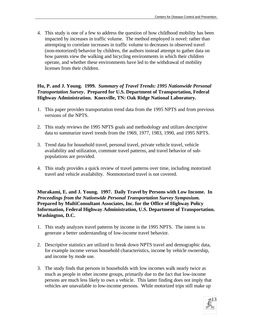4. This study is one of a few to address the question of how childhood mobility has been impacted by increases in traffic volume. The method employed is novel: rather than attempting to correlate increases in traffic volume to decreases in observed travel (non-motorized) behavior by children, the authors instead attempt to gather data on how parents view the walking and bicycling environments in which their children operate, and whether these environments have led to the withdrawal of mobility licenses from their children.

#### **Hu, P. and J. Young. 1999.** *Summary of Travel Trends: 1995 Nationwide Personal Transportation Survey***. Prepared for U.S. Department of Transportation, Federal Highway Administration. Knoxville, TN: Oak Ridge National Laboratory.**

- 1. This paper provides transportation trend data from the 1995 NPTS and from previous versions of the NPTS.
- 2. This study reviews the 1995 NPTS goals and methodology and utilizes descriptive data to summarize travel trends from the 1969, 1977, 1983, 1990, and 1995 NPTS.
- 3. Trend data for household travel, personal travel, private vehicle travel, vehicle availability and utilization, commute travel patterns, and travel behavior of subpopulations are provided.
- 4. This study provides a quick review of travel patterns over time, including motorized travel and vehicle availability. Nonmotorized travel is not covered.

**Murakami, E. and J. Young. 1997. Daily Travel by Persons with Low Income. In**  *Proceedings from the Nationwide Personal Transportation Survey Symposium.*  **Prepared by MultiConsultant Associates, Inc. for the Office of Highway Policy Information, Federal Highway Administration, U.S. Department of Transportation. Washington, D.C.**

- 1. This study analyzes travel patterns by income in the 1995 NPTS. The intent is to generate a better understanding of low-income travel behavior.
- 2. Descriptive statistics are utilized to break down NPTS travel and demographic data, for example income versus household characteristics, income by vehicle ownership, and income by mode use.
- 3. The study finds that persons in households with low incomes walk nearly twice as much as people in other income groups, primarily due to the fact that low-income persons are much less likely to own a vehicle. This latter finding does not imply that vehicles are unavailable to low-income persons. While motorized trips still make up

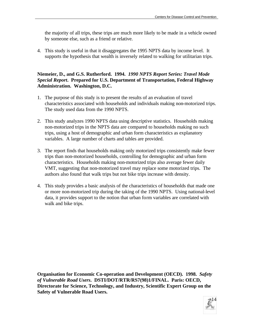the majority of all trips, these trips are much more likely to be made in a vehicle owned by someone else, such as a friend or relative.

4. This study is useful in that it disaggregates the 1995 NPTS data by income level. It supports the hypothesis that wealth is inversely related to walking for utilitarian trips.

#### **Niemeier, D., and G.S. Rutherford. 1994.** *1990 NPTS Report Series: Travel Mode Special Report***. Prepared for U.S. Department of Transportation, Federal Highway Administration. Washington, D.C.**

- 1. The purpose of this study is to present the results of an evaluation of travel characteristics associated with households and individuals making non-motorized trips. The study used data from the 1990 NPTS.
- 2. This study analyzes 1990 NPTS data using descriptive statistics. Households making non-motorized trips in the NPTS data are compared to households making no such trips, using a host of demographic and urban form characteristics as explanatory variables. A large number of charts and tables are provided.
- 3. The report finds that households making only motorized trips consistently make fewer trips than non-motorized households, controlling for demographic and urban form characteristics. Households making non-motorized trips also average fewer daily VMT, suggesting that non-motorized travel may replace some motorized trips. The authors also found that walk trips but not bike trips increase with density.
- 4. This study provides a basic analysis of the characteristics of households that made one or more non-motorized trip during the taking of the 1990 NPTS. Using national-level data, it provides support to the notion that urban form variables are correlated with walk and bike trips.

**Organisation for Economic Co-operation and Development (OECD). 1998.** *Safety of Vulnerable Road Users***. DSTI/DOT/RTR/RS7(98)1/FINAL. Paris: OECD, Directorate for Science, Technology, and Industry, Scientific Expert Group on the Safety of Vulnerable Road Users.**

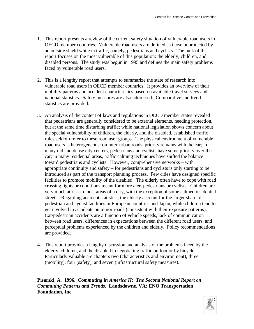- 1. This report presents a review of the current safety situation of vulnerable road users in OECD member countries. Vulnerable road users are defined as those unprotected by an outside shield while in traffic, namely, pedestrians and cyclists. The bulk of this report focuses on the most vulnerable of this population: the elderly, children, and disabled persons. The study was begun in 1995 and defines the main safety problems faced by vulnerable road users.
- 2. This is a lengthy report that attempts to summarize the state of research into vulnerable road users in OECD member countries. It provides an overview of their mobility patterns and accident characteristics based on available travel surveys and national statistics. Safety measures are also addressed. Comparative and trend statistics are provided.
- 3. An analysis of the content of laws and regulations in OECD member states revealed that pedestrians are generally considered to be external elements, needing protection, but at the same time disturbing traffic; while national legislation shows concern about the special vulnerability of children, the elderly, and the disabled, established traffic rules seldom refer to these road user groups. The physical environment of vulnerable road users is heterogeneous: on inter-urban roads, priority remains with the car; in many old and dense city centers, pedestrians and cyclists have some priority over the car; in many residential areas, traffic calming techniques have shifted the balance toward pedestrians and cyclists. However, comprehensive networks – with appropriate continuity and safety – for pedestrians and cyclists is only starting to be introduced as part of the transport planning process. Few cities have designed specific facilities to promote mobility of the disabled. The elderly often have to cope with road crossing lights or conditions meant for more alert pedestrians or cyclists. Children are very much at risk in most areas of a city, with the exception of some calmed residential streets. Regarding accident statistics, the elderly account for the larger share of pedestrian and cyclist facilities in European countries and Japan, while children tend to get involved in accidents on minor roads (consistent with their exposure patterns). Car/pedestrian accidents are a function of vehicle speeds, lack of communication between road users, differences in expectations between the different road users, and perceptual problems experienced by the children and elderly. Policy recommendations are provided.
- 4. This report provides a lengthy discussion and analysis of the problems faced by the elderly, children, and the disabled in negotiating traffic on foot or by bicycle. Particularly valuable are chapters two (characteristics and environment), three (mobility), four (safety), and seven (infrastructural safety measures).

**Pisarski, A. 1996.** *Commuting in America II: The Second National Report on Commuting Patterns and Trends***. Landsdowne, VA: ENO Transportation Foundation, Inc.**

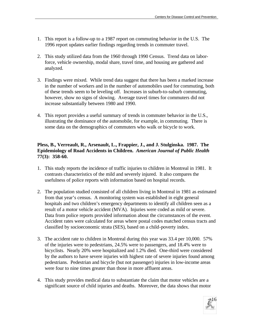- 1. This report is a follow-up to a 1987 report on commuting behavior in the U.S. The 1996 report updates earlier findings regarding trends in commuter travel.
- 2. This study utilized data from the 1960 through 1990 Census. Trend data on laborforce, vehicle ownership, modal share, travel time, and housing are gathered and analyzed.
- 3. Findings were mixed. While trend data suggest that there has been a marked increase in the number of workers and in the number of automobiles used for commuting, both of these trends seem to be leveling off. Increases in suburb-to-suburb commuting, however, show no signs of slowing. Average travel times for commuters did not increase substantially between 1980 and 1990.
- 4. This report provides a useful summary of trends in commuter behavior in the U.S., illustrating the dominance of the automobile, for example, in commuting. There is some data on the demographics of commuters who walk or bicycle to work.

#### **Pless, B., Verreault, R., Arsenault, L., Frappier, J., and J. Stulginska. 1987. The Epidemiology of Road Accidents in Children.** *American Journal of Public Health* **77(3): 358-60.**

- 1. This study reports the incidence of traffic injuries to children in Montreal in 1981. It contrasts characteristics of the mild and severely injured. It also compares the usefulness of police reports with information based on hospital records.
- 2. The population studied consisted of all children living in Montreal in 1981 as estimated from that year's census. A monitoring system was established in eight general hospitals and two children's emergency departments to identify all children seen as a result of a motor vehicle accident (MVA). Injuries were coded as mild or severe. Data from police reports provided information about the circumstances of the event. Accident rates were calculated for areas where postal codes matched census tracts and classified by socioeconomic strata (SES), based on a child-poverty index.
- 3. The accident rate to children in Montreal during this year was 33.4 per 10,000. 57% of the injuries were to pedestrians, 24.5% were to passengers, and 18.4% were to bicyclists. Nearly 20% were hospitalized and 1.2% died. One-third were considered by the authors to have severe injuries with highest rate of severe injuries found among pedestrians. Pedestrian and bicycle (but not passenger) injuries in low-income areas were four to nine times greater than those in more affluent areas.
- 4. This study provides medical data to substantiate the claim that motor vehicles are a significant source of child injuries and deaths. Moreover, the data shows that motor

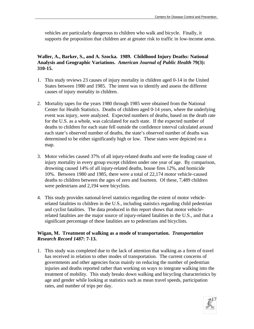vehicles are particularly dangerous to children who walk and bicycle. Finally, it supports the proposition that children are at greater risk to traffic in low-income areas.

#### **Waller, A., Barker, S., and A. Szocka. 1989. Childhood Injury Deaths: National Analysis and Geographic Variations.** *American Journal of Public Health* **79(3): 310-15.**

- 1. This study reviews 23 causes of injury mortality in children aged 0-14 in the United States between 1980 and 1985. The intent was to identify and assess the different causes of injury mortality in children.
- 2. Mortality tapes for the years 1980 through 1985 were obtained from the National Center for Health Statistics. Deaths of children aged 0-14 years, where the underlying event was injury, were analyzed. Expected numbers of deaths, based on the death rate for the U.S. as a whole, was calculated for each state. If the expected number of deaths to children for each state fell outside the confidence interval calculated around each state's observed number of deaths, the state's observed number of deaths was determined to be either significantly high or low. These states were depicted on a map.
- 3. Motor vehicles caused 37% of all injury-related deaths and were the leading cause of injury mortality in every group except children under one year of age. By comparison, drowning caused 14% of all injury-related deaths, house fires 12%, and homicide 10%. Between 1980 and 1985, there were a total of 22,174 motor vehicle-caused deaths to children between the ages of zero and fourteen. Of these, 7,489 children were pedestrians and 2,194 were bicyclists.
- 4. This study provides national-level statistics regarding the extent of motor vehiclerelated fatalities to children in the U.S., including statistics regarding child pedestrian and cyclist fatalities. The data produced in this report shows that motor vehiclerelated fatalities are the major source of injury-related fatalities in the U.S., and that a significant percentage of these fatalities are to pedestrians and bicyclists.

#### **Wigan, M. Treatment of walking as a mode of transportation.** *Transportation Research Record 1487***: 7-13.**

1. This study was completed due to the lack of attention that walking as a form of travel has received in relation to other modes of transportation. The current concerns of governments and other agencies focus mainly on reducing the number of pedestrian injuries and deaths reported rather than working on ways to integrate walking into the treatment of mobility. This study breaks down walking and bicycling characteristics by age and gender while looking at statistics such as mean travel speeds, participation rates, and number of trips per day.

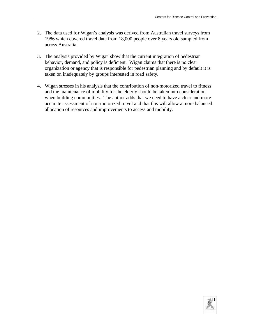- 2. The data used for Wigan's analysis was derived from Australian travel surveys from 1986 which covered travel data from 18,000 people over 8 years old sampled from across Australia.
- 3. The analysis provided by Wigan show that the current integration of pedestrian behavior, demand, and policy is deficient. Wigan claims that there is no clear organization or agency that is responsible for pedestrian planning and by default it is taken on inadequately by groups interested in road safety.
- 4. Wigan stresses in his analysis that the contribution of non-motorized travel to fitness and the maintenance of mobility for the elderly should be taken into consideration when building communities. The author adds that we need to have a clear and more accurate assessment of non-motorized travel and that this will allow a more balanced allocation of resources and improvements to access and mobility.

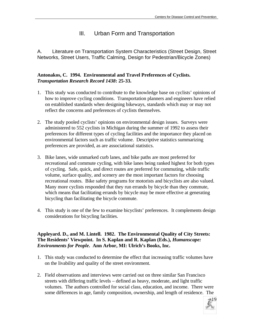## III. Urban Form and Transportation

A. Literature on Transportation System Characteristics (Street Design, Street Networks, Street Users, Traffic Calming, Design for Pedestrian/Bicycle Zones)

#### **Antonakos, C. 1994. Environmental and Travel Preferences of Cyclists.**  *Transportation Research Record 1438***: 25-33.**

- 1. This study was conducted to contribute to the knowledge base on cyclists' opinions of how to improve cycling conditions. Transportation planners and engineers have relied on established standards when designing bikeways, standards which may or may not reflect the concerns and preferences of cyclists themselves.
- 2. The study pooled cyclists' opinions on environmental design issues. Surveys were administered to 552 cyclists in Michigan during the summer of 1992 to assess their preferences for different types of cycling facilities and the importance they placed on environmental factors such as traffic volume. Descriptive statistics summarizing preferences are provided, as are associational statistics.
- 3. Bike lanes, wide unmarked curb lanes, and bike paths are most preferred for recreational and commute cycling, with bike lanes being ranked highest for both types of cycling. Safe, quick, and direct routes are preferred for commuting, while traffic volume, surface quality, and scenery are the most important factors for choosing recreational routes. Bike safety programs for motorists and bicyclists are also valued. Many more cyclists responded that they run errands by bicycle than they commute, which means that facilitating errands by bicycle may be more effective at generating bicycling than facilitating the bicycle commute.
- 4. This study is one of the few to examine bicyclists' preferences. It complements design considerations for bicycling facilities.

#### **Appleyard. D., and M. Lintell. 1982. The Environmental Quality of City Streets: The Residents' Viewpoint. In S. Kaplan and R. Kaplan (Eds.),** *Humanscape: Environments for People***. Ann Arbor, MI: Ulrich's Books, Inc.**

- 1. This study was conducted to determine the effect that increasing traffic volumes have on the livability and quality of the street environment.
- 2. Field observations and interviews were carried out on three similar San Francisco streets with differing traffic levels – defined as heavy, moderate, and light traffic volumes. The authors controlled for social class, education, and income. There were some differences in age, family composition, ownership, and length of residence. The

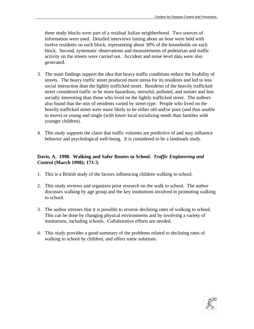three study blocks were part of a residual Italian neighborhood. Two sources of information were used. Detailed interviews lasting about an hour were held with twelve residents on each block, representing about 30% of the households on each block. Second, systematic observations and measurements of pedestrian and traffic activity on the streets were carried out. Accident and noise level data were also generated.

- 3. The main findings support the idea that heavy traffic conditions reduce the livability of streets. The heavy traffic street produced more stress for its residents and led to less social interaction than the lightly trafficked street. Residents of the heavily trafficked street considered traffic to be more hazardous, stressful, polluted, and noisier and less socially interesting than those who lived on the lightly trafficked street. The authors also found that the mix of residents varied by street type. People who lived on the heavily trafficked street were more likely to be either old and/or poor (and thus unable to move) or young and single (with lower local socializing needs than families with younger children).
- 4. This study supports the claim that traffic volumes are predictive of and may influence behavior and psychological well-being. It is considered to be a landmark study.

#### **Davis, A. 1998. Walking and Safer Routes to School.** *Traffic Engineering and Control* **(March 1998): 171-3.**

- 1. This is a British study of the factors influencing children walking to school.
- 2. This study reviews and organizes prior research on the walk to school. The author discusses walking by age group and the key institutions involved in promoting walking to school.
- 3. The author stresses that it is possible to reverse declining rates of walking to school. This can be done by changing physical environments and by involving a variety of institutions, including schools. Collaborative efforts are needed.
- 4. This study provides a good summary of the problems related to declining rates of walking to school by children, and offers some solutions.

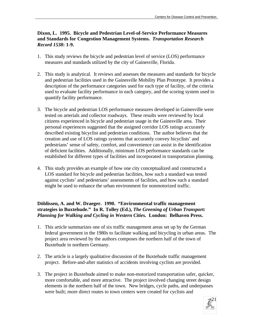#### **Dixon, L. 1995. Bicycle and Pedestrian Level-of-Service Performance Measures and Standards for Congestion Management Systems.** *Transportation Research Record 1538***: 1-9.**

- 1. This study reviews the bicycle and pedestrian level of service (LOS) performance measures and standards utilized by the city of Gainesville, Florida.
- 2. This study is analytical. It reviews and assesses the measures and standards for bicycle and pedestrian facilities used in the Gainesville Mobility Plan Prototype. It provides a description of the performance categories used for each type of facility, of the criteria used to evaluate facility performance in each category, and the scoring system used to quantify facility performance.
- 3. The bicycle and pedestrian LOS performance measures developed in Gainesville were tested on arterials and collector roadways. These results were reviewed by local citizens experienced in bicycle and pedestrian usage in the Gainesville area. Their personal experiences suggested that the assigned corridor LOS ratings accurately described existing bicyclist and pedestrian conditions. The author believes that the creation and use of LOS ratings systems that accurately convey bicyclists' and pedestrians' sense of safety, comfort, and convenience can assist in the identification of deficient facilities. Additionally, minimum LOS performance standards can be established for different types of facilities and incorporated in transportation planning.
- 4. This study provides an example of how one city conceptualized and constructed a LOS standard for bicycle and pedestrian facilities, how such a standard was tested against cyclists' and pedestrians' assessments of facilities, and how such a standard might be used to enhance the urban environment for nonmotorized traffic.

#### **Döldissen, A. and W. Draeger. 1990. "Environmental traffic management strategies in Buxtehude." In R. Tolley (Ed.),** *The Greening of Urban Transport: Planning for Walking and Cycling in Western Cities.* **London: Belhaven Press.**

- 1. This article summarizes one of six traffic management areas set up by the German federal government in the 1980s to facilitate walking and bicycling in urban areas. The project area reviewed by the authors composes the northern half of the town of Buxtehude in northern Germany.
- 2. The article is a largely qualitative discussion of the Buxtehude traffic management project. Before-and-after statistics of accidents involving cyclists are provided.
- 3. The project in Buxtehude aimed to make non-motorized transportation safer, quicker, more comfortable, and more attractive. The project involved changing street design elements in the northern half of the town. New bridges, cycle paths, and underpasses were built; more direct routes to town centers were created for cyclists and

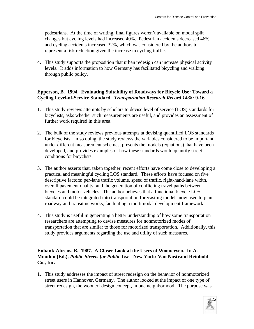pedestrians. At the time of writing, final figures weren't available on modal split changes but cycling levels had increased 40%. Pedestrian accidents decreased 46% and cycling accidents increased 32%, which was considered by the authors to represent a risk reduction given the increase in cycling traffic.

4. This study supports the proposition that urban redesign can increase physical activity levels. It adds information to how Germany has facilitated bicycling and walking through public policy.

#### **Epperson, B. 1994. Evaluating Suitability of Roadways for Bicycle Use: Toward a Cycling Level-of-Service Standard.** *Transportation Research Record 1438***: 9-16.**

- 1. This study reviews attempts by scholars to devise level of service (LOS) standards for bicyclists, asks whether such measurements are useful, and provides an assessment of further work required in this area.
- 2. The bulk of the study reviews previous attempts at devising quantified LOS standards for bicyclists. In so doing, the study reviews the variables considered to be important under different measurement schemes, presents the models (equations) that have been developed, and provides examples of how these standards would quantify street conditions for bicyclists.
- 3. The author asserts that, taken together, recent efforts have come close to developing a practical and meaningful cycling LOS standard. These efforts have focused on five descriptive factors: per-lane traffic volume, speed of traffic, right-hand-lane width, overall pavement quality, and the generation of conflicting travel paths between bicycles and motor vehicles. The author believes that a functional bicycle LOS standard could be integrated into transportation forecasting models now used to plan roadway and transit networks, facilitating a multimodal development framework.
- 4. This study is useful in generating a better understanding of how some transportation researchers are attempting to devise measures for nonmotorized modes of transportation that are similar to those for motorized transportation. Additionally, this study provides arguments regarding the use and utility of such measures.

#### **Eubank-Ahrens, B. 1987. A Closer Look at the Users of Woonerven. In A. Moudon (Ed.),** *Public Streets for Public Use***. New York: Van Nostrand Reinhold Co., Inc.**

1. This study addresses the impact of street redesign on the behavior of nonmotorized street users in Hannover, Germany. The author looked at the impact of one type of street redesign, the woonerf design concept, in one neighborhood. The purpose was

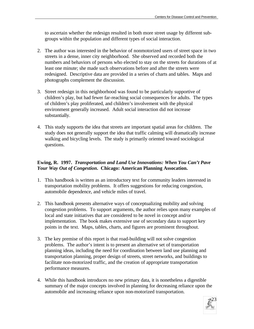to ascertain whether the redesign resulted in both more street usage by different subgroups within the population and different types of social interaction.

- 2. The author was interested in the behavior of nonmotorized users of street space in two streets in a dense, inner city neighborhood. She observed and recorded both the numbers and behaviors of persons who elected to stay on the streets for durations of at least one minute; she made such observations before and after the streets were redesigned. Descriptive data are provided in a series of charts and tables. Maps and photographs complement the discussion.
- 3. Street redesign in this neighborhood was found to be particularly supportive of children's play, but had fewer far-reaching social consequences for adults. The types of children's play proliferated, and children's involvement with the physical environment generally increased. Adult social interaction did not increase substantially.
- 4. This study supports the idea that streets are important spatial areas for children. The study does not generally support the idea that traffic calming will dramatically increase walking and bicycling levels. The study is primarily oriented toward sociological questions.

#### **Ewing, R. 1997.** *Transportation and Land Use Innovations: When You Can't Pave Your Way Out of Congestion***. Chicago: American Planning Assocation.**

- 1. This handbook is written as an introductory text for community leaders interested in transportation mobility problems. It offers suggestions for reducing congestion, automobile dependence, and vehicle miles of travel.
- 2. This handbook presents alternative ways of conceptualizing mobility and solving congestion problems. To support arguments, the author relies upon many examples of local and state initiatives that are considered to be novel in concept and/or implementation. The book makes extensive use of secondary data to support key points in the text. Maps, tables, charts, and figures are prominent throughout.
- 3. The key premise of this report is that road-building will not solve congestion problems. The author's intent is to present an alternative set of transportation planning ideas, including the need for coordination between land use planning and transportation planning, proper design of streets, street networks, and buildings to facilitate non-motorized traffic, and the creation of appropriate transportation performance measures.
- 4. While this handbook introduces no new primary data, it is nonetheless a digestible summary of the major concepts involved in planning for decreasing reliance upon the automobile and increasing reliance upon non-motorized transportation.

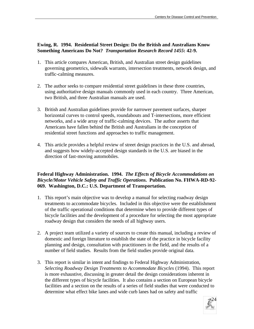#### **Ewing, R. 1994. Residential Street Design: Do the British and Australians Know Something Americans Do Not?** *Transportation Research Record 1455***: 42-9.**

- 1. This article compares American, British, and Australian street design guidelines governing geometrics, sidewalk warrants, intersection treatments, network design, and traffic-calming measures.
- 2. The author seeks to compare residential street guidelines in these three countries, using authoritative design manuals commonly used in each country. Three American, two British, and three Australian manuals are used.
- 3. British and Australian guidelines provide for narrower pavement surfaces, sharper horizontal curves to control speeds, roundabouts and T-intersections, more efficient networks, and a wide array of traffic-calming devices. The author asserts that Americans have fallen behind the British and Australians in the conception of residential street functions and approaches to traffic management.
- 4. This article provides a helpful review of street design practices in the U.S. and abroad, and suggests how widely-accepted design standards in the U.S. are biased in the direction of fast-moving automobiles.

#### **Federal Highway Administration. 1994.** *The Effects of Bicycle Accommodations on Bicycle/Motor Vehicle Safety and Traffic Operations***. Publication No. FHWA-RD-92- 069. Washington, D.C.: U.S. Department of Transportation.**

- 1. This report's main objective was to develop a manual for selecting roadway design treatments to accommodate bicycles. Included in this objective were the establishment of the traffic operational conditions that determine when to provide different types of bicycle facilities and the development of a procedure for selecting the most appropriate roadway design that considers the needs of all highway users.
- 2. A project team utilized a variety of sources to create this manual, including a review of domestic and foreign literature to establish the state of the practice in bicycle facility planning and design, consultation with practitioners in the field, and the results of a number of field studies. Results from the field studies provide original data.
- 3. This report is similar in intent and findings to Federal Highway Administration, *Selecting Roadway Design Treatments to Accommodate Bicycles* (1994). This report is more exhaustive, discussing in greater detail the design considerations inherent in the different types of bicycle facilities. It also contains a section on European bicycle facilities and a section on the results of a series of field studies that were conducted to determine what effect bike lanes and wide curb lanes had on safety and traffic

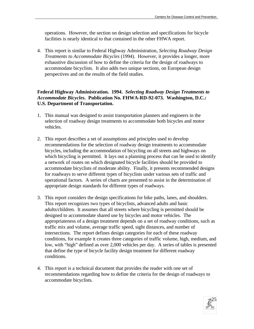operations. However, the section on design selection and specifications for bicycle facilities is nearly identical to that contained in the other FHWA report.

4. This report is similar to Federal Highway Administration, *Selecting Roadway Design Treatments to Accommodate Bicycles* (1994). However, it provides a longer, more exhaustive discussion of how to define the criteria for the design of roadways to accommodate bicyclists. It also adds two unique sections, on European design perspectives and on the results of the field studies.

#### **Federal Highway Administration. 1994.** *Selecting Roadway Design Treatments to Accommodate Bicycles***. Publication No. FHWA-RD-92-073. Washington, D.C.: U.S. Department of Transportation.**

- 1. This manual was designed to assist transportation planners and engineers in the selection of roadway design treatments to accommodate both bicycles and motor vehicles.
- 2. This report describes a set of assumptions and principles used to develop recommendations for the selection of roadway design treatments to accommodate bicycles, including the accommodation of bicycling on all streets and highways on which bicycling is permitted. It lays out a planning process that can be used to identify a network of routes on which designated bicycle facilities should be provided to accommodate bicyclists of moderate ability. Finally, it presents recommended designs for roadways to serve different types of bicyclists under various sets of traffic and operational factors. A series of charts are presented to assist in the determination of appropriate design standards for different types of roadways.
- 3. This report considers the design specifications for bike paths, lanes, and shoulders. This report recognizes two types of bicyclists, advanced adults and basic adults/children. It assumes that all streets where bicycling is permitted should be designed to accommodate shared use by bicycles and motor vehicles. The appropriateness of a design treatment depends on a set of roadway conditions, such as traffic mix and volume, average traffic speed, sight distances, and number of intersections. The report defines design categories for each of these roadway conditions, for example it creates three categories of traffic volume, high, medium, and low, with "high" defined as over 2,000 vehicles per day. A series of tables is presented that define the type of bicycle facility design treatment for different roadway conditions.
- 4. This report is a technical document that provides the reader with one set of recommendations regarding how to define the criteria for the design of roadways to accommodate bicyclists.

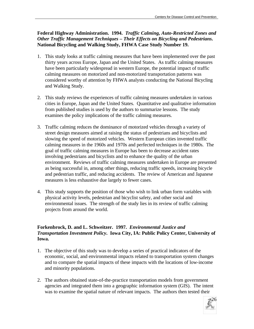#### **Federal Highway Administration. 1994.** *Traffic Calming, Auto-Restricted Zones and Other Traffic Management Techniques – Their Effects on Bicycling and Pedestrians***. National Bicycling and Walking Study, FHWA Case Study Number 19.**

- 1. This study looks at traffic calming measures that have been implemented over the past thirty years across Europe, Japan and the United States. As traffic calming measures have been particularly widespread in western Europe, the potential impact of traffic calming measures on motorized and non-motorized transportation patterns was considered worthy of attention by FHWA analysts conducting the National Bicycling and Walking Study.
- 2. This study reviews the experiences of traffic calming measures undertaken in various cities in Europe, Japan and the United States. Quantitative and qualitative information from published studies is used by the authors to summarize lessons. The study examines the policy implications of the traffic calming measures.
- 3. Traffic calming reduces the dominance of motorized vehicles through a variety of street design measures aimed at raising the status of pedestrians and bicyclists and slowing the speed of motorized vehicles. Western European cities invented traffic calming measures in the 1960s and 1970s and perfected techniques in the 1980s. The goal of traffic calming measures in Europe has been to decrease accident rates involving pedestrians and bicyclists and to enhance the quality of the urban environment. Reviews of traffic calming measures undertaken in Europe are presented as being successful in, among other things, reducing traffic speeds, increasing bicycle and pedestrian traffic, and reducing accidents. The review of American and Japanese measures is less exhaustive due largely to fewer cases.
- 4. This study supports the position of those who wish to link urban form variables with physical activity levels, pedestrian and bicyclist safety, and other social and environmental issues. The strength of the study lies in its review of traffic calming projects from around the world.

#### **Forkenbrock, D. and L. Schweitzer. 1997.** *Environmental Justice and Transportation Investment Policy***. Iowa City, IA: Public Policy Center, University of Iowa.**

- 1. The objective of this study was to develop a series of practical indicators of the economic, social, and environmental impacts related to transportation system changes and to compare the spatial impacts of these impacts with the locations of low-income and minority populations.
- 2. The authors obtained state-of-the-practice transportation models from government agencies and integrated them into a geographic information system (GIS). The intent was to examine the spatial nature of relevant impacts. The authors then tested their

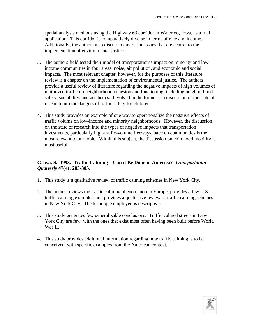spatial analysis methods using the Highway 63 corridor in Waterloo, Iowa, as a trial application. This corridor is comparatively diverse in terms of race and income. Additionally, the authors also discuss many of the issues that are central to the implementation of environmental justice.

- 3. The authors field tested their model of transportation's impact on minority and low income communities in four areas: noise, air pollution, and economic and social impacts. The most relevant chapter, however, for the purposes of this literature review is a chapter on the implementation of environmental justice. The authors provide a useful review of literature regarding the negative impacts of high volumes of motorized traffic on neighborhood cohesion and functioning, including neighborhood safety, sociability, and aesthetics. Involved in the former is a discussion of the state of research into the dangers of traffic safety for children.
- 4. This study provides an example of one way to operationalize the negative effects of traffic volume on low-income and minority neighborhoods. However, the discussion on the state of research into the types of negative impacts that transportation investments, particularly high-traffic-volume freeways, have on communities is the most relevant to our topic. Within this subject, the discussion on childhood mobility is most useful.

#### **Grava, S. 1993. Traffic Calming – Can it Be Done in America?** *Transportation Quarterly* **47(4): 283-305.**

- 1. This study is a qualitative review of traffic calming schemes in New York City.
- 2. The author reviews the traffic calming phenomenon in Europe, provides a few U.S. traffic calming examples, and provides a qualitative review of traffic calming schemes in New York City. The technique employed is descriptive.
- 3. This study generates few generalizable conclusions. Traffic calmed streets in New York City are few, with the ones that exist most often having been built before World War II.
- 4. This study provides additional information regarding how traffic calming is to be conceived, with specific examples from the American context.

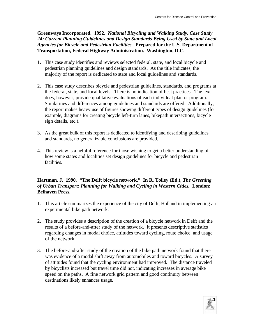**Greenways Incorporated. 1992.** *National Bicycling and Walking Study, Case Study 24: Current Planning Guidelines and Design Standards Being Used by State and Local Agencies for Bicycle and Pedestrian Facilities.* **Prepared for the U.S. Department of Transportation, Federal Highway Administration. Washington, D.C.**

- 1. This case study identifies and reviews selected federal, state, and local bicycle and pedestrian planning guidelines and design standards. As the title indicates, the majority of the report is dedicated to state and local guidelines and standards.
- 2. This case study describes bicycle and pedestrian guidelines, standards, and programs at the federal, state, and local levels. There is no indication of best practices. The text does, however, provide qualitative evaluations of each individual plan or program. Similarities and differences among guidelines and standards are offered. Additionally, the report makes heavy use of figures showing different types of design guidelines (for example, diagrams for creating bicycle left-turn lanes, bikepath intersections, bicycle sign details, etc.).
- 3. As the great bulk of this report is dedicated to identifying and describing guidelines and standards, no generalizable conclusions are provided.
- 4. This review is a helpful reference for those wishing to get a better understanding of how some states and localities set design guidelines for bicycle and pedestrian facilities.

#### Hartman, J. 1990. "The Delft bicycle network." In R. Tolley (Ed.), *The Greening of Urban Transport: Planning for Walking and Cycling in Western Cities.* **London: Belhaven Press.**

- 1. This article summarizes the experience of the city of Delft, Holland in implementing an experimental bike path network.
- 2. The study provides a description of the creation of a bicycle network in Delft and the results of a before-and-after study of the network. It presents descriptive statistics regarding changes in modal choice, attitudes toward cycling, route choice, and usage of the network.
- 3. The before-and-after study of the creation of the bike path network found that there was evidence of a modal shift away from automobiles and toward bicycles. A survey of attitudes found that the cycling environment had improved. The distance traveled by bicyclists increased but travel time did not, indicating increases in average bike speed on the paths. A fine network grid pattern and good continuity between destinations likely enhances usage.

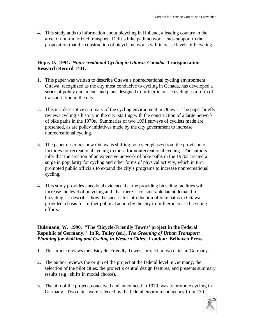4. This study adds to information about bicycling in Holland, a leading country in the area of non-motorized transport. Delft's bike path network lends support to the proposition that the construction of bicycle networks will increase levels of bicycling.

#### **Hope, D. 1994.** *Nonrecreational Cycling in Ottawa, Canada.* **Transportation Research Record 1441.**

- 1. This paper was written to describe Ottawa's nonrecreational cycling environment. Ottawa, recognized as the city most conducive to cycling in Canada, has developed a series of policy documents and plans designed to further increase cycling as a form of transportation in the city.
- 2. This is a descriptive summary of the cycling environment in Ottawa. The paper briefly reviews cycling's history in the city, starting with the construction of a large network of bike paths in the 1970s. Summaries of two 1991 surveys of cyclists made are presented, as are policy initiatives made by the city government to increase nonrecreational cycling.
- 3. The paper describes how Ottawa is shifting policy emphases from the provision of facilities for recreational cycling to those for nonrecreational cycling. The authors infer that the creation of an extensive network of bike paths in the 1970s created a surge in popularity for cycling and other forms of physical activity, which in turn prompted public officials to expand the city's programs to increase nonrecreational cycling.
- 4. This study provides anecdotal evidence that the providing bicycling facilities will increase the level of bicycling and that there is considerable latent demand for bicycling. It describes how the successful introduction of bike paths in Ottawa provided a basis for further political action by the city to further increase bicycling efforts.

**Hülsmann, W. 1990. "The 'Bicycle-Friendly Towns' project in the Federal Republic of Germany." In R. Tolley (ed.),** *The Greening of Urban Transport: Planning for Walking and Cycling in Western Cities.* **London: Belhaven Press.**

- 1. This article reviews the "Bicycle-Friendly Towns" project in two cities in Germany.
- 2. The author reviews the origin of the project at the federal level in Germany, the selection of the pilot cities, the project's central design features, and presents summary results (e.g., shifts in modal choice).
- 3. The aim of the project, conceived and announced in 1979, was to promote cycling in Germany. Two cities were selected by the federal environment agency from 130

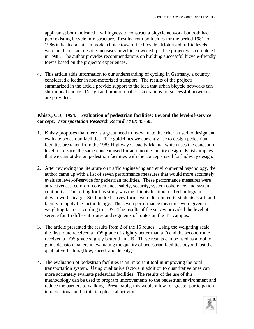applicants; both indicated a willingness to construct a bicycle network but both had poor existing bicycle infrastructure. Results from both cities for the period 1981 to 1986 indicated a shift in modal choice toward the bicycle. Motorized traffic levels were held constant despite increases in vehicle ownership. The project was completed in 1988. The author provides recommendations on building successful bicycle-friendly towns based on the project's experiences.

4. This article adds information to our understanding of cycling in Germany, a country considered a leader in non-motorized transport. The results of the projects summarized in the article provide support to the idea that urban bicycle networks can shift modal choice. Design and promotional considerations for successful networks are provided.

#### **Khisty, C.J. 1994. Evaluation of pedestrian facilities: Beyond the level-of-service concept.** *Transportation Research Record 1438***: 45-50.**

- 1. Khisty proposes that there is a great need to re-evaluate the criteria used to design and evaluate pedestrian facilities. The guidelines we currently use to design pedestrian facilities are taken from the 1985 Highway Capacity Manual which uses the concept of level-of-service, the same concept used for automobile facility design. Khisty implies that we cannot design pedestrian facilities with the concepts used for highway design.
- 2. After reviewing the literature on traffic engineering and environmental psychology, the author came up with a list of seven performance measures that would more accurately evaluate level-of-service for pedestrian facilities. These performance measures were attractiveness, comfort, convenience, safety, security, system coherence, and system continuity. The setting for this study was the Illinois Institute of Technology in downtown Chicago. Six hundred survey forms were distributed to students, staff, and faculty to apply the methodology. The seven performance measures were given a weighting factor according to LOS. The results of the survey provided the level of service for 15 different routes and segments of routes on the IIT campus.
- 3. The article presented the results from 2 of the 15 routes. Using the weighting scale, the first route received a LOS grade of slightly better than a D and the second route received a LOS grade slightly better than a B. These results can be used as a tool to guide decision makers in evaluating the quality of pedestrian facilities beyond just the qualitative factors (flow, speed, and density).
- 4. The evaluation of pedestrian facilities is an important tool in improving the total transportation system. Using qualitative factors in addition to quantitative ones can more accurately evaluate pedestrian facilities. The results of the use of this methodology can be used to program improvements to the pedestrian environment and reduce the barriers to walking. Presumably, this would allow for greater participation in recreational and utilitarian physical activity.

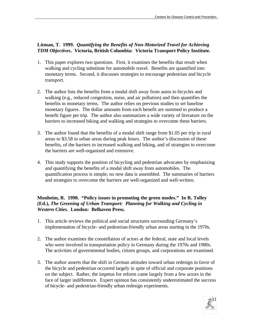#### **Litman, T. 1999.** *Quantifying the Benefits of Non-Motorized Travel for Achieving TDM Objectives***. Victoria, British Columbia: Victoria Transport Policy Institute.**

- 1. This paper explores two questions. First, it examines the benefits that result when walking and cycling substitute for automobile travel. Benefits are quantified into monetary terms. Second, it discusses strategies to encourage pedestrian and bicycle transport.
- 2. The author lists the benefits from a modal shift away from autos to bicycles and walking (e.g., reduced congestion, noise, and air pollution) and then quantifies the benefits in monetary terms. The author relies on previous studies to set baseline monetary figures. The dollar amounts from each benefit are summed to produce a benefit figure per trip. The author also summarizes a wide variety of literature on the barriers to increased biking and walking and strategies to overcome these barriers.
- 3. The author found that the benefits of a modal shift range from \$1.05 per trip in rural areas to \$3.58 in urban areas during peak hours. The author's discussion of these benefits, of the barriers to increased walking and biking, and of strategies to overcome the barriers are well-organized and extensive.
- 4. This study supports the position of bicycling and pedestrian advocates by emphasizing and quantifying the benefits of a modal shift away from automobiles. The quantification process is simple; no new data is assembled. The summaries of barriers and strategies to overcome the barriers are well-organized and well-written.

#### **Monheim, R. 1990. "Policy issues in promoting the green modes." In R. Tolley (Ed.),** *The Greening of Urban Transport: Planning for Walking and Cycling in Western Cities.* **London: Belhaven Press.**

- 1. This article reviews the political and social structures surrounding Germany's implementation of bicycle- and pedestrian-friendly urban areas starting in the 1970s.
- 2. The author examines the constellation of actors at the federal, state and local levels who were involved in transportation policy in Germany during the 1970s and 1980s. The activities of governmental bodies, citizen groups, and corporations are examined.
- 3. The author asserts that the shift in German attitudes toward urban redesign in favor of the bicycle and pedestrian occurred largely in spite of official and corporate positions on the subject. Rather, the impetus for reform came largely from a few actors in the face of larger indifference. Expert opinion has consistently underestimated the success of bicycle- and pedestrian-friendly urban redesign experiments.

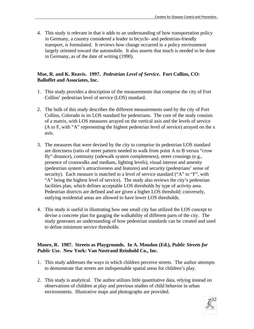4. This study is relevant in that it adds to an understanding of how transportation policy in Germany, a country considered a leader in bicycle- and pedestrian-friendly transport, is formulated. It reviews how change occurred in a policy environment largely oriented toward the automobile. It also asserts that much is needed to be done in Germany, as of the date of writing (1990).

#### **Moe, R. and K. Reavis. 1997.** *Pedestrian Level of Service***. Fort Collins, CO: Balloffet and Associates, Inc.**

- 1. This study provides a description of the measurements that comprise the city of Fort Collins' pedestrian level of service (LOS) standard.
- 2. The bulk of this study describes the different measurements used by the city of Fort Collins, Colorado in its LOS standard for pedestrians. The core of the study consists of a matrix, with LOS measures arrayed on the vertical axis and the levels of service (A to F, with "A" representing the highest pedestrian level of service) arrayed on the x axis.
- 3. The measures that were devised by the city to comprise its pedestrian LOS standard are directness (ratio of street pattern needed to walk from point A to B versus "crow fly" distance), continuity (sidewalk system completeness), street crossings (e.g., presence of crosswalks and medians, lighting levels), visual interest and amenity (pedestrian system's attractiveness and features) and security (pedestrians' sense of security). Each measure is matched to a level of service standard ("A" to "F", with "A" being the highest level of service). The study also reviews the city's pedestrian facilities plan, which defines acceptable LOS thresholds by type of activity area. Pedestrian districts are defined and are given a higher LOS threshold; conversely, outlying residential areas are allowed to have lower LOS thresholds.
- 4. This study is useful in illustrating how one small city has utilized the LOS concept to devise a concrete plan for gauging the walkability of different parts of the city. The study generates an understanding of how pedestrian standards can be created and used to define minimum service thresholds.

#### **Moore, R. 1987. Streets as Playgrounds. In A. Moudon (Ed.),** *Public Streets for Public Use***. New York: Van Nostrand Reinhold Co., Inc.**

- 1. This study addresses the ways in which children perceive streets. The author attempts to demonstrate that streets are indispensable spatial areas for children's play.
- 2. This study is analytical. The author utilizes little quantitative data, relying instead on observations of children at play and previous studies of child behavior in urban environments. Illustrative maps and photographs are provided.

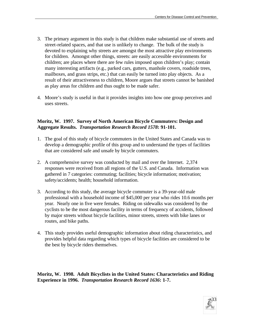- 3. The primary argument in this study is that children make substantial use of streets and street-related spaces, and that use is unlikely to change. The bulk of the study is devoted to explaining why streets are amongst the most attractive play environments for children. Amongst other things, streets: are easily accessible environments for children; are places where there are few rules imposed upon children's play; contain many interesting artifacts (e.g., parked cars, gutters, manhole covers, roadside trees, mailboxes, and grass strips, etc.) that can easily be turned into play objects. As a result of their attractiveness to children, Moore argues that streets cannot be banished as play areas for children and thus ought to be made safer.
- 4. Moore's study is useful in that it provides insights into how one group perceives and uses streets.

#### **Moritz, W. 1997. Survey of North American Bicycle Commuters: Design and Aggregate Results.** *Transportation Research Record 1578***: 91-101.**

- 1. The goal of this study of bicycle commuters in the United States and Canada was to develop a demographic profile of this group and to understand the types of facilities that are considered safe and unsafe by bicycle commuters.
- 2. A comprehensive survey was conducted by mail and over the Internet. 2,374 responses were received from all regions of the U.S. and Canada. Information was gathered in 7 categories: commuting; facilities; bicycle information; motivation; safety/accidents; health; household information.
- 3. According to this study, the average bicycle commuter is a 39-year-old male professional with a household income of \$45,000 per year who rides 10.6 months per year. Nearly one in five were females. Riding on sidewalks was considered by the cyclists to be the most dangerous facility in terms of frequency of accidents, followed by major streets without bicycle facilities, minor streets, streets with bike lanes or routes, and bike paths.
- 4. This study provides useful demographic information about riding characteristics, and provides helpful data regarding which types of bicycle facilities are considered to be the best by bicycle riders themselves.

**Moritz, W. 1998. Adult Bicyclists in the United States: Characteristics and Riding Experience in 1996.** *Transportation Research Record 1636***: 1-7.**

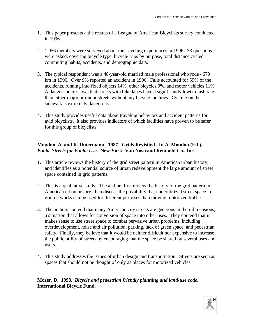- 1. This paper presents a the results of a League of American Bicyclists survey conducted in 1996.
- 2. 1,956 members were surveyed about their cycling experiences in 1996. 33 questions were asked, covering bicycle type, bicycle trips by purpose, total distance cycled, commuting habits, accidents, and demographic data.
- 3. The typical respondent was a 48-year-old married male professional who rode 4670 km in 1996. Over 9% reported an accident in 1996. Falls accounted for 59% of the accidents, running into fixed objects 14%, other bicycles 9%, and motor vehicles 11%. A danger index shows that streets with bike lanes have a significantly lower crash rate than either major or minor streets without any bicycle facilities. Cycling on the sidewalk is extremely dangerous.
- 4. This study provides useful data about traveling behaviors and accident patterns for avid bicyclists. It also provides indicators of which facilities have proven to be safer for this group of bicyclists.

#### **Moudon, A. and R. Untermann. 1987. Grids Revisited. In A. Moudon (Ed.),**  *Public Streets for Public Use***. New York: Van Nostrand Reinhold Co., Inc.**

- 1. This article reviews the history of the grid street pattern in American urban history, and identifies as a potential source of urban redevelopment the large amount of street space contained in grid patterns.
- 2. This is a qualitative study. The authors first review the history of the grid pattern in American urban history, then discuss the possibility that underutilized street space in grid networks can be used for different purposes than moving motorized traffic.
- 3. The authors contend that many American city streets are generous in their dimensions, a situation that allows for conversion of space into other uses. They contend that it makes sense to use street space to combat pervasive urban problems, including overdevelopment, noise and air pollution, parking, lack of green space, and pedestrian safety. Finally, they believe that it would be neither difficult nor expensive to increase the public utility of streets by encouraging that the space be shared by several uses and users.
- 4. This study addresses the issues of urban design and transportation. Streets are seen as spaces that should not be thought of only as places for motorized vehicles.

**Mozer, D. 1998.** *Bicycle and pedestrian friendly planning and land-use code***. International Bicycle Fund.**

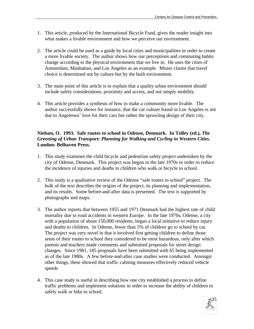- 1. This article, produced by the International Bicycle Fund, gives the reader insight into what makes a livable environment and how we perceive our environment.
- 2. The article could be used as a guide by local cities and municipalities in order to create a more livable society. The author shows how our perceptions and commuting habits change according to the physical environment that we live in. He uses the cities of Amsterdam, Manhattan, and Los Angeles as an example. Mozer claims that travel choice is determined not by culture but by the built environment.
- 3. The main point of this article is to explain that a quality urban environment should include safety considerations, proximity and access, and not simply mobility.
- 4. This article provides a synthesis of how to make a community more livable. The author successfully shows for instance, that the car culture found in Los Angeles is not due to Angelenos' love for their cars but rather the sprawling design of their city.

#### **Nielson, O. 1993. Safe routes to school in Odense, Denmark. In Tolley (ed.),** *The Greening of Urban Transport: Planning for Walking and Cycling in Western Cities***. London: Belhaven Press.**

- 1. This study examines the child bicycle and pedestrian safety project undertaken by the city of Odense, Denmark. This project was begun in the late 1970s in order to reduce the incidence of injuries and deaths to children who walk or bicycle to school.
- 2. This study is a qualitative review of the Odense "safe routes to school" project. The bulk of the text describes the origins of the project, its planning and implementation, and its results. Some before-and-after data is presented. The text is supported by photographs and maps.
- 3. The author reports that between 1955 and 1971 Denmark had the highest rate of child mortality due to road accidents in western Europe. In the late 1970s, Odense, a city with a population of about 150,000 residents, began a local initiative to reduce injury and deaths to children. In Odense, fewer than 5% of children go to school by car. The project was very novel in that it involved first getting children to define those areas of their routes to school they considered to be most hazardous, only after which parents and teachers made comments and submitted proposals for street design changes. Since 1981, 185 proposals have been submitted with 65 being implemented as of the late 1980s. A few before-and-after case studies were conducted. Amongst other things, these showed that traffic calming measures effectively reduced vehicle speeds
- 4. This case study is useful in describing how one city established a process to define traffic problems and implement solutions in order to increase the ability of children to safely walk or bike to school.

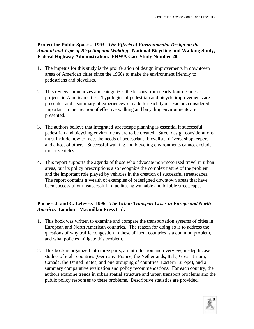**Project for Public Spaces. 1993.** *The Effects of Environmental Design on the Amount and Type of Bicycling and Walking***. National Bicycling and Walking Study, Federal Highway Administration. FHWA Case Study Number 20.**

- 1. The impetus for this study is the proliferation of design improvements in downtown areas of American cities since the 1960s to make the environment friendly to pedestrians and bicyclists.
- 2. This review summarizes and categorizes the lessons from nearly four decades of projects in American cities. Typologies of pedestrian and bicycle improvements are presented and a summary of experiences is made for each type. Factors considered important in the creation of effective walking and bicycling environments are presented.
- 3. The authors believe that integrated streetscape planning is essential if successful pedestrian and bicycling environments are to be created. Street design considerations must include how to meet the needs of pedestrians, bicyclists, drivers, shopkeepers and a host of others. Successful walking and bicycling environments cannot exclude motor vehicles.
- 4. This report supports the agenda of those who advocate non-motorized travel in urban areas, but its policy prescriptions also recognize the complex nature of the problem and the important role played by vehicles in the creation of successful streetscapes. The report contains a wealth of examples of redesigned downtown areas that have been successful or unsuccessful in facilitating walkable and bikable streetscapes.

#### **Pucher, J. and C. Lefevre. 1996.** *The Urban Transport Crisis in Europe and North America***. London: Macmillan Press Ltd.**

- 1. This book was written to examine and compare the transportation systems of cities in European and North American countries. The reason for doing so is to address the questions of why traffic congestion in these affluent countries is a common problem, and what policies mitigate this problem.
- 2. This book is organized into three parts, an introduction and overview, in-depth case studies of eight countries (Germany, France, the Netherlands, Italy, Great Britain, Canada, the United States, and one grouping of countries, Eastern Europe), and a summary comparative evaluation and policy recommendations. For each country, the authors examine trends in urban spatial structure and urban transport problems and the public policy responses to these problems. Descriptive statistics are provided.

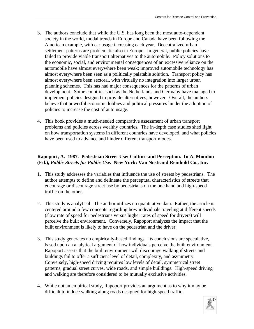- 3. The authors conclude that while the U.S. has long been the most auto-dependent society in the world, modal trends in Europe and Canada have been following the American example, with car usage increasing each year. Decentralized urban settlement patterns are problematic also in Europe. In general, public policies have failed to provide viable transport alternatives to the automobile. Policy solutions to the economic, social, and environmental consequences of an excessive reliance on the automobile have almost everywhere been weak; improved automobile technology has almost everywhere been seen as a politically palatable solution. Transport policy has almost everywhere been sectoral, with virtually no integration into larger urban planning schemes. This has had major consequences for the patterns of urban development. Some countries such as the Netherlands and Germany have managed to implement policies designed to provide alternatives, however. Overall, the authors believe that powerful economic lobbies and political pressures hinder the adoption of policies to increase the cost of auto usage.
- 4. This book provides a much-needed comparative assessment of urban transport problems and policies across wealthy countries. The in-depth case studies shed light on how transportation systems in different countries have developed, and what policies have been used to advance and hinder different transport modes.

#### **Rapoport, A. 1987. Pedestrian Street Use: Culture and Perception. In A. Moudon (Ed.),** *Public Streets for Public Use***. New York: Van Nostrand Reinhold Co., Inc.**

- 1. This study addresses the variables that influence the use of streets by pedestrians. The author attempts to define and delineate the perceptual characteristics of streets that encourage or discourage street use by pedestrians on the one hand and high-speed traffic on the other.
- 2. This study is analytical. The author utilizes no quantitative data. Rather, the article is centered around a few concepts regarding how individuals traveling at different speeds (slow rate of speed for pedestrians versus higher rates of speed for drivers) will perceive the built environment. Conversely, Rapoport analyzes the impact that the built environment is likely to have on the pedestrian and the driver.
- 3. This study generates no empirically-based findings. Its conclusions are speculative, based upon an analytical argument of how individuals perceive the built environment. Rapoport asserts that the built environment will discourage walking if streets and buildings fail to offer a sufficient level of detail, complexity, and asymmetry. Conversely, high-speed driving requires low levels of detail, symmetrical street patterns, gradual street curves, wide roads, and simple buildings. High-speed driving and walking are therefore considered to be mutually exclusive activities.
- 4. While not an empirical study, Rapoport provides an argument as to why it may be difficult to induce walking along roads designed for high-speed traffic.

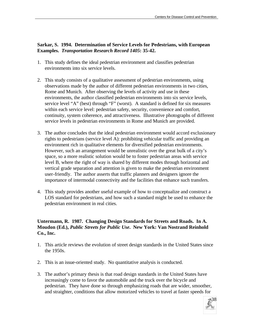#### **Sarkar, S. 1994. Determination of Service Levels for Pedestrians, with European Examples.** *Transportation Research Record 1405***: 35-42.**

- 1. This study defines the ideal pedestrian environment and classifies pedestrian environments into six service levels.
- 2. This study consists of a qualitative assessment of pedestrian environments, using observations made by the author of different pedestrian environments in two cities, Rome and Munich. After observing the levels of activity and use in these environments, the author classified pedestrian environments into six service levels, service level "A" (best) through "F" (worst). A standard is defined for six measures within each service level: pedestrian safety, security, convenience and comfort, continuity, system coherence, and attractiveness. Illustrative photographs of different service levels in pedestrian environments in Rome and Munich are provided.
- 3. The author concludes that the ideal pedestrian environment would accord exclusionary rights to pedestrians (service level A): prohibiting vehicular traffic and providing an environment rich in qualitative elements for diversified pedestrian environments. However, such an arrangement would be unrealistic over the great bulk of a city's space, so a more realistic solution would be to foster pedestrian areas with service level B, where the right of way is shared by different modes through horizontal and vertical grade separation and attention is given to make the pedestrian environment user-friendly. The author asserts that traffic planners and designers ignore the importance of intermodal connectivity and the facilities that enhance such transfers.
- 4. This study provides another useful example of how to conceptualize and construct a LOS standard for pedestrians, and how such a standard might be used to enhance the pedestrian environment in real cities.

#### **Untermann, R. 1987. Changing Design Standards for Streets and Roads. In A. Moudon (Ed.),** *Public Streets for Public Use***. New York: Van Nostrand Reinhold Co., Inc.**

- 1. This article reviews the evolution of street design standards in the United States since the 1950s.
- 2. This is an issue-oriented study. No quantitative analysis is conducted.
- 3. The author's primary thesis is that road design standards in the United States have increasingly come to favor the automobile and the truck over the bicycle and pedestrian. They have done so through emphasizing roads that are wider, smoother, and straighter, conditions that allow motorized vehicles to travel at faster speeds for

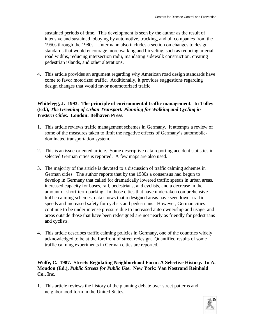sustained periods of time. This development is seen by the author as the result of intensive and sustained lobbying by automotive, trucking, and oil companies from the 1950s through the 1980s. Untermann also includes a section on changes to design standards that would encourage more walking and bicycling, such as reducing arterial road widths, reducing intersection radii, mandating sidewalk construction, creating pedestrian islands, and other alterations.

4. This article provides an argument regarding why American road design standards have come to favor motorized traffic. Additionally, it provides suggestions regarding design changes that would favor nonmotorized traffic.

#### **Whitelegg, J. 1993. The principle of environmental traffic management. In Tolley (Ed.),** *The Greening of Urban Transport: Planning for Walking and Cycling in Western Cities***. London: Belhaven Press.**

- 1. This article reviews traffic management schemes in Germany. It attempts a review of some of the measures taken to limit the negative effects of Germany's automobiledominated transportation system.
- 2. This is an issue-oriented article. Some descriptive data reporting accident statistics in selected German cities is reported. A few maps are also used.
- 3. The majority of the article is devoted to a discussion of traffic calming schemes in German cities. The author reports that by the 1980s a consensus had begun to develop in Germany that called for dramatically lowered traffic speeds in urban areas, increased capacity for buses, rail, pedestrians, and cyclists, and a decrease in the amount of short-term parking. In those cities that have undertaken comprehensive traffic calming schemes, data shows that redesigned areas have seen lower traffic speeds and increased safety for cyclists and pedestrians. However, German cities continue to be under intense pressure due to increased auto ownership and usage, and areas outside those that have been redesigned are not nearly as friendly for pedestrians and cyclists.
- 4. This article describes traffic calming policies in Germany, one of the countries widely acknowledged to be at the forefront of street redesign. Quantified results of some traffic calming experiments in German cities are reported.

#### **Wolfe, C. 1987. Streets Regulating Neighborhood Form: A Selective History. In A. Moudon (Ed.),** *Public Streets for Public Use***. New York: Van Nostrand Reinhold Co., Inc.**

1. This article reviews the history of the planning debate over street patterns and neighborhood form in the United States.

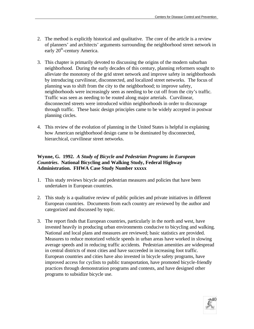- 2. The method is explicitly historical and qualitative. The core of the article is a review of planners' and architects' arguments surrounding the neighborhood street network in early 20<sup>th</sup>-century America.
- 3. This chapter is primarily devoted to discussing the origins of the modern suburban neighborhood. During the early decades of this century, planning reformers sought to alleviate the monotony of the grid street network and improve safety in neighborhoods by introducing curvilinear, disconnected, and localized street networks. The focus of planning was to shift from the city to the neighborhood; to improve safety, neighborhoods were increasingly seen as needing to be cut off from the city's traffic. Traffic was seen as needing to be routed along major arterials. Curvilinear, disconnected streets were introduced within neighborhoods in order to discourage through traffic. These basic design principles came to be widely accepted in postwar planning circles.
- 4. This review of the evolution of planning in the United States is helpful in explaining how American neighborhood design came to be dominated by disconnected, hierarchical, curvilinear street networks.

#### **Wynne, G. 1992.** *A Study of Bicycle and Pedestrian Programs in European Countries***. National Bicycling and Walking Study, Federal Highway Administration. FHWA Case Study Number xxxxx**

- 1. This study reviews bicycle and pedestrian measures and policies that have been undertaken in European countries.
- 2. This study is a qualitative review of public policies and private initiatives in different European countries. Documents from each country are reviewed by the author and categorized and discussed by topic.
- 3. The report finds that European countries, particularly in the north and west, have invested heavily in producing urban environments conducive to bicycling and walking. National and local plans and measures are reviewed; basic statistics are provided. Measures to reduce motorized vehicle speeds in urban areas have worked in slowing average speeds and in reducing traffic accidents. Pedestrian amenities are widespread in central districts of most cities and have succeeded in increasing foot traffic. European countries and cities have also invested in bicycle safety programs, have improved access for cyclists to public transportation, have promoted bicycle-friendly practices through demonstration programs and contests, and have designed other programs to subsidize bicycle use.

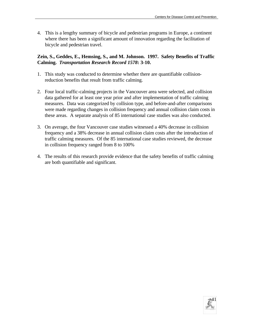4. This is a lengthy summary of bicycle and pedestrian programs in Europe, a continent where there has been a significant amount of innovation regarding the facilitation of bicycle and pedestrian travel.

#### **Zein, S., Geddes, E., Hemsing, S., and M. Johnson. 1997. Safety Benefits of Traffic Calming.** *Transportation Research Record 1578***: 3-10.**

- 1. This study was conducted to determine whether there are quantifiable collisionreduction benefits that result from traffic calming.
- 2. Four local traffic-calming projects in the Vancouver area were selected, and collision data gathered for at least one year prior and after implementation of traffic calming measures. Data was categorized by collision type, and before-and-after comparisons were made regarding changes in collision frequency and annual collision claim costs in these areas. A separate analysis of 85 international case studies was also conducted.
- 3. On average, the four Vancouver case studies witnessed a 40% decrease in collision frequency and a 38% decrease in annual collision claim costs after the introduction of traffic calming measures. Of the 85 international case studies reviewed, the decrease in collision frequency ranged from 8 to 100%
- 4. The results of this research provide evidence that the safety benefits of traffic calming are both quantifiable and significant.

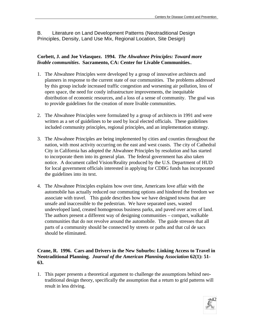B. Literature on Land Development Patterns (Neotraditional Design Principles, Density, Land Use Mix, Regional Location, Site Design)

#### **Corbett, J. and Joe Velasquez. 1994.** *The Ahwahnee Principles: Toward more livable communities***. Sacramento, CA: Center for Livable Communities.**.

- 1. The Ahwahnee Principles were developed by a group of innovative architects and planners in response to the current state of our communities. The problems addressed by this group include increased traffic congestion and worsening air pollution, loss of open space, the need for costly infrastructure improvements, the inequitable distribution of economic resources, and a loss of a sense of community. The goal was to provide guidelines for the creation of more livable communities.
- 2. The Ahwahnee Principles were formulated by a group of architects in 1991 and were written as a set of guidelines to be used by local elected officials. These guidelines included community principles, regional principles, and an implementation strategy.
- 3. The Ahwahnee Principles are being implemented by cities and counties throughout the nation, with most activity occurring on the east and west coasts. The city of Cathedral City in California has adopted the Ahwahnee Principles by resolution and has started to incorporate them into its general plan. The federal government has also taken notice. A document called Vision/Reality produced by the U.S. Department of HUD for local government officials interested in applying for CDBG funds has incorporated the guidelines into its text.
- 4. The Ahwahnee Principles explains how over time, Americans love affair with the automobile has actually reduced our commuting options and hindered the freedom we associate with travel. This guide describes how we have designed towns that are unsafe and inaccessible to the pedestrian. We have separated uses, wasted undeveloped land, created homogenous business parks, and paved over acres of land. The authors present a different way of designing communities – compact, walkable communities that do not revolve around the automobile. The guide stresses that all parts of a community should be connected by streets or paths and that cul de sacs should be eliminated.

#### **Crane, R. 1996. Cars and Drivers in the New Suburbs: Linking Access to Travel in Neotraditional Planning.** *Journal of the American Planning Association* **62(1): 51- 63.**

1. This paper presents a theoretical argument to challenge the assumptions behind neotraditional design theory, specifically the assumption that a return to grid patterns will result in less driving.

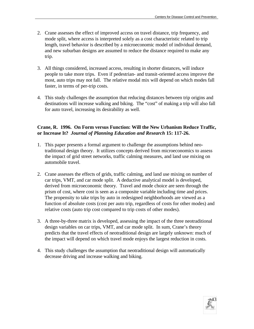- 2. Crane assesses the effect of improved access on travel distance, trip frequency, and mode split, where access is interpreted solely as a cost characteristic related to trip length, travel behavior is described by a microeconomic model of individual demand, and new suburban designs are assumed to reduce the distance required to make any trip.
- 3. All things considered, increased access, resulting in shorter distances, will induce people to take more trips. Even if pedestrian- and transit-oriented access improve the most, auto trips may not fall. The relative modal mix will depend on which modes fall faster, in terms of per-trip costs.
- 4. This study challenges the assumption that reducing distances between trip origins and destinations will increase walking and biking. The "cost" of making a trip will also fall for auto travel, increasing its desirability as well.

#### **Crane, R. 1996. On Form versus Function: Will the New Urbanism Reduce Traffic, or Increase It?** *Journal of Planning Education and Research* **15: 117-26.**

- 1. This paper presents a formal argument to challenge the assumptions behind neotraditional design theory. It utilizes concepts derived from microeconomics to assess the impact of grid street networks, traffic calming measures, and land use mixing on automobile travel.
- 2. Crane assesses the effects of grids, traffic calming, and land use mixing on number of car trips, VMT, and car mode split. A deductive analytical model is developed, derived from microeconomic theory. Travel and mode choice are seen through the prism of cost, where cost is seen as a composite variable including time and prices. The propensity to take trips by auto in redesigned neighborhoods are viewed as a function of absolute costs (cost per auto trip, regardless of costs for other modes) and relative costs (auto trip cost compared to trip costs of other modes).
- 3. A three-by-three matrix is developed, assessing the impact of the three neotraditional design variables on car trips, VMT, and car mode split. In sum, Crane's theory predicts that the travel effects of neotraditional design are largely unknown: much of the impact will depend on which travel mode enjoys the largest reduction in costs.
- 4. This study challenges the assumption that neotraditional design will automatically decrease driving and increase walking and biking.

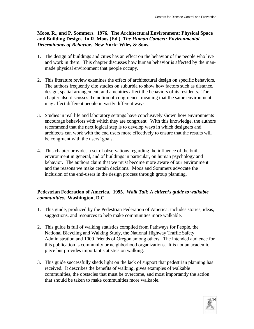**Moos, R., and P. Sommers. 1976. The Architectural Environment: Physical Space and Building Design. In R. Moos (Ed.),** *The Human Context: Environmental Determinants of Behavior***. New York: Wiley & Sons.**

- 1. The design of buildings and cities has an effect on the behavior of the people who live and work in them. This chapter discusses how human behavior is affected by the manmade physical environment that people occupy.
- 2. This literature review examines the effect of architectural design on specific behaviors. The authors frequently cite studies on suburbia to show how factors such as distance, design, spatial arrangement, and amenities affect the behaviors of its residents. The chapter also discusses the notion of congruence, meaning that the same environment may affect different people in vastly different ways.
- 3. Studies in real life and laboratory settings have conclusively shown how environments encourage behaviors with which they are congruent. With this knowledge, the authors recommend that the next logical step is to develop ways in which designers and architects can work with the end users more effectively to ensure that the results will be congruent with the users' goals.
- 4. This chapter provides a set of observations regarding the influence of the built environment in general, and of buildings in particular, on human psychology and behavior. The authors claim that we must become more aware of our environment and the reasons we make certain decisions. Moos and Sommers advocate the inclusion of the end-users in the design process through group planning.

#### **Pedestrian Federation of America. 1995.** *Walk Tall: A citizen's guide to walkable communities***. Washington, D.C.**

- 1. This guide, produced by the Pedestrian Federation of America, includes stories, ideas, suggestions, and resources to help make communities more walkable.
- 2. This guide is full of walking statistics compiled from Pathways for People, the National Bicycling and Walking Study, the National Highway Traffic Safety Administration and 1000 Friends of Oregon among others. The intended audience for this publication is community or neighborhood organizations. It is not an academic piece but provides important statistics on walking.
- 3. This guide successfully sheds light on the lack of support that pedestrian planning has received. It describes the benefits of walking, gives examples of walkable communities, the obstacles that must be overcome, and most importantly the action that should be taken to make communities more walkable.

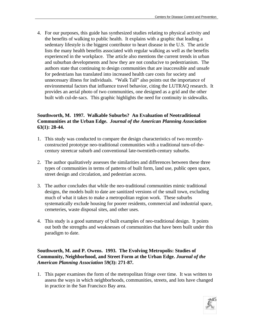4. For our purposes, this guide has synthesized studies relating to physical activity and the benefits of walking to public health. It explains with a graphic that leading a sedentary lifestyle is the biggest contributor to heart disease in the U.S. The article lists the many health benefits associated with regular walking as well as the benefits experienced in the workplace. The article also mentions the current trends in urban and suburban developments and how they are not conducive to pedestrianism. The authors state that continuing to design communities that are inaccessible and unsafe for pedestrians has translated into increased health care costs for society and unnecessary illness for individuals. "Walk Tall" also points out the importance of environmental factors that influence travel behavior, citing the LUTRAQ research. It provides an aerial photo of two communities, one designed as a grid and the other built with cul-de-sacs. This graphic highlights the need for continuity in sidewalks.

#### **Southworth, M. 1997. Walkable Suburbs? An Evaluation of Neotraditional Communities at the Urban Edge.** *Journal of the American Planning Association* **63(1): 28-44.**

- 1. This study was conducted to compare the design characteristics of two recentlyconstructed prototype neo-traditional communities with a traditional turn-of-thecentury streetcar suburb and conventional late-twentieth-century suburbs.
- 2. The author qualitatively assesses the similarities and differences between these three types of communities in terms of patterns of built form, land use, public open space, street design and circulation, and pedestrian access.
- 3. The author concludes that while the neo-traditional communities mimic traditional designs, the models built to date are sanitized versions of the small town, excluding much of what it takes to make a metropolitan region work. These suburbs systematically exclude housing for poorer residents, commercial and industrial space, cemeteries, waste disposal sites, and other uses.
- 4. This study is a good summary of built examples of neo-traditional design. It points out both the strengths and weaknesses of communities that have been built under this paradigm to date.

#### **Southworth, M. and P. Owens. 1993. The Evolving Metropolis: Studies of Community, Neighborhood, and Street Form at the Urban Edge.** *Journal of the American Planning Association* **59(3): 271-87.**

1. This paper examines the form of the metropolitan fringe over time. It was written to assess the ways in which neighborhoods, communities, streets, and lots have changed in practice in the San Francisco Bay area.

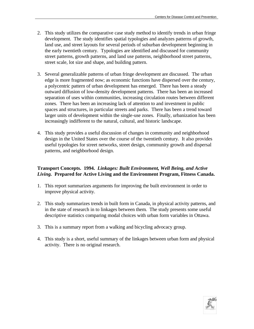- 2. This study utilizes the comparative case study method to identify trends in urban fringe development. The study identifies spatial typologies and analyzes patterns of growth, land use, and street layouts for several periods of suburban development beginning in the early twentieth century. Typologies are identified and discussed for community street patterns, growth patterns, and land use patterns, neighborhood street patterns, street scale, lot size and shape, and building pattern.
- 3. Several generalizable patterns of urban fringe development are discussed. The urban edge is more fragmented now; as economic functions have dispersed over the century, a polycentric pattern of urban development has emerged. There has been a steady outward diffusion of low-density development patterns. There has been an increased separation of uses within communities, increasing circulation routes between different zones. There has been an increasing lack of attention to and investment in public spaces and structures, in particular streets and parks. There has been a trend toward larger units of development within the single-use zones. Finally, urbanization has been increasingly indifferent to the natural, cultural, and historic landscape.
- 4. This study provides a useful discussion of changes in community and neighborhood design in the United States over the course of the twentieth century. It also provides useful typologies for street networks, street design, community growth and dispersal patterns, and neighborhood design.

#### **Transport Concepts. 1994.** *Linkages: Built Environment, Well Being, and Active Living.* **Prepared for Active Living and the Environment Program, Fitness Canada.**

- 1. This report summarizes arguments for improving the built environment in order to improve physical activity.
- 2. This study summarizes trends in built form in Canada, in physical activity patterns, and in the state of research in to linkages between them. The study presents some useful descriptive statistics comparing modal choices with urban form variables in Ottawa.
- 3. This is a summary report from a walking and bicycling advocacy group.
- 4. This study is a short, useful summary of the linkages between urban form and physical activity. There is no original research.

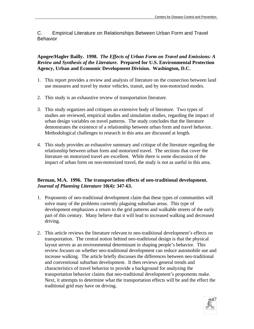C. Empirical Literature on Relationships Between Urban Form and Travel Behavior

**Apogee/Hagler Bailly. 1998.** *The Effects of Urban Form on Travel and Emissions: A Review and Synthesis of the Literature***. Prepared for U.S. Environmental Protection Agency, Urban and Economic Development Division. Washington, D.C.**

- 1. This report provides a review and analysis of literature on the connection between land use measures and travel by motor vehicles, transit, and by non-motorized modes.
- 2. This study is an exhaustive review of transportation literature.
- 3. This study organizes and critiques an extensive body of literature. Two types of studies are reviewed, empirical studies and simulation studies, regarding the impact of urban design variables on travel patterns. The study concludes that the literature demonstrates the existence of a relationship between urban form and travel behavior. Methodological challenges to research in this area are discussed at length.
- 4. This study provides an exhaustive summary and critique of the literature regarding the relationship between urban form and motorized travel. The sections that cover the literature on motorized travel are excellent. While there is some discussion of the impact of urban form on non-motorized travel, the study is not as useful in this area.

#### **Berman, M.A. 1996. The transportation effects of neo-traditional development.**  *Journal of Planning Literature* **10(4): 347-63.**

- 1. Proponents of neo-traditional development claim that these types of communities will solve many of the problems currently plaguing suburban areas. This type of development emphasizes a return to the grid patterns and walkable streets of the early part of this century. Many believe that it will lead to increased walking and decreased driving.
- 2. This article reviews the literature relevant to neo-traditional development's effects on transportation. The central notion behind neo-traditional design is that the physical layout serves as an environmental determinant in shaping people's behavior. This review focuses on whether neo-traditional development can reduce automobile use and increase walking. The article briefly discusses the differences between neo-traditional and conventional suburban development. It then reviews general trends and characteristics of travel behavior to provide a background for analyzing the transportation behavior claims that neo-traditional development's proponents make. Next, it attempts to determine what the transportation effects will be and the effect the traditional grid may have on driving.

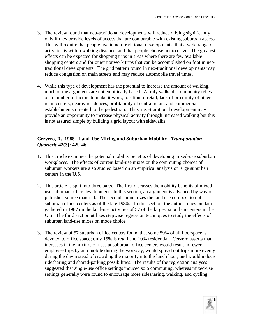- 3. The review found that neo-traditional developments will reduce driving significantly only if they provide levels of access that are comparable with existing suburban access. This will require that people live in neo-traditional developments, that a wide range of activities is within walking distance, and that people choose not to drive. The greatest effects can be expected for shopping trips in areas where there are few available shopping centers and for other nonwork trips that can be accomplished on foot in neotraditional developments. The grid pattern found in neo-traditional developments may reduce congestion on main streets and may reduce automobile travel times.
- 4. While this type of development has the potential to increase the amount of walking, much of the arguments are not empirically based. A truly walkable community relies on a number of factors to make it work; location of retail, lack of proximity of other retail centers, nearby residences, profitability of central retail, and commercial establishments oriented to the pedestrian. Thus, neo-traditional development may provide an opportunity to increase physical activity through increased walking but this is not assured simple by building a grid layout with sidewalks.

#### **Cervero, R. 1988. Land-Use Mixing and Suburban Mobility.** *Transportation Quarterly* **42(3): 429-46.**

- 1. This article examines the potential mobility benefits of developing mixed-use suburban workplaces. The effects of current land-use mixes on the commuting choices of suburban workers are also studied based on an empirical analysis of large suburban centers in the U.S.
- 2. This article is split into three parts. The first discusses the mobility benefits of mixeduse suburban office development. In this section, an argument is advanced by way of published source material. The second summarizes the land use composition of suburban office centers as of the late 1980s. In this section, the author relies on data gathered in 1987 on the land-use activities of 57 of the largest suburban centers in the U.S. The third section utilizes stepwise regression techniques to study the effects of suburban land-use mixes on mode choice
- 3. The review of 57 suburban office centers found that some 59% of all floorspace is devoted to office space; only 15% is retail and 10% residential. Cervero asserts that increases in the mixture of uses at suburban office centers would result in fewer employee trips by automobile during the workday, would spread out trips more evenly during the day instead of crowding the majority into the lunch hour, and would induce ridesharing and shared-parking possibilities. The results of the regression analyses suggested that single-use office settings induced solo commuting, whereas mixed-use settings generally were found to encourage more ridesharing, walking, and cycling.

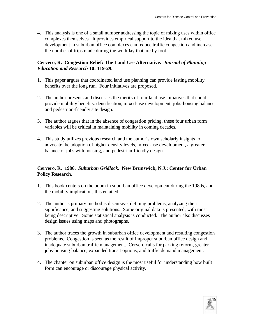4. This analysis is one of a small number addressing the topic of mixing uses within office complexes themselves. It provides empirical support to the idea that mixed use development in suburban office complexes can reduce traffic congestion and increase the number of trips made during the workday that are by foot.

#### **Cervero, R. Congestion Relief: The Land Use Alternative.** *Journal of Planning Education and Research* **10: 119-29.**

- 1. This paper argues that coordinated land use planning can provide lasting mobility benefits over the long run. Four initiatives are proposed.
- 2. The author presents and discusses the merits of four land use initiatives that could provide mobility benefits: densification, mixed-use development, jobs-housing balance, and pedestrian-friendly site design.
- 3. The author argues that in the absence of congestion pricing, these four urban form variables will be critical in maintaining mobility in coming decades.
- 4. This study utilizes previous research and the author's own scholarly insights to advocate the adoption of higher density levels, mixed-use development, a greater balance of jobs with housing, and pedestrian-friendly design.

#### **Cervero, R. 1986.** *Suburban Gridlock***. New Brunswick, N.J.: Center for Urban Policy Research.**

- 1. This book centers on the boom in suburban office development during the 1980s, and the mobility implications this entailed.
- 2. The author's primary method is discursive, defining problems, analyzing their significance, and suggesting solutions. Some original data is presented, with most being descriptive. Some statistical analysis is conducted. The author also discusses design issues using maps and photographs.
- 3. The author traces the growth in suburban office development and resulting congestion problems. Congestion is seen as the result of improper suburban office design and inadequate suburban traffic management. Cervero calls for parking reform, greater jobs-housing balance, expanded transit options, and traffic demand management.
- 4. The chapter on suburban office design is the most useful for understanding how built form can encourage or discourage physical activity.

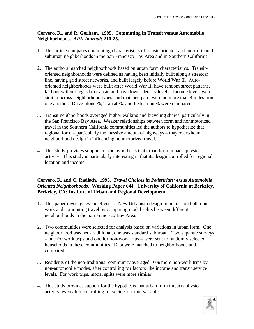#### **Cervero, R., and R. Gorham. 1995. Commuting in Transit versus Automobile Neighborhoods.** *APA Journal***: 210-25.**

- 1. This article compares commuting characteristics of transit-oriented and auto-oriented suburban neighborhoods in the San Francisco Bay Area and in Southern California.
- 2. The authors matched neighborhoods based on urban form characteristics. Transitoriented neighborhoods were defined as having been initially built along a streetcar line, having grid street networks, and built largely before World War II. Autooriented neighborhoods were built after World War II, have random street patterns, laid out without regard to transit, and have lower density levels. Income levels were similar across neighborhood types, and matched pairs were no more than 4 miles from one another. Drive-alone %, Transit %, and Pedestrian % were compared.
- 3. Transit neighborhoods averaged higher walking and bicycling shares, particularly in the San Francisco Bay Area. Weaker relationships between form and nonmotorized travel in the Southern California communities led the authors to hypothesize that regional form – particularly the massive amount of highways – may overwhelm neighborhood design in influencing nonmotorized travel.
- 4. This study provides support for the hypothesis that urban form impacts physical activity. This study is particularly interesting in that its design controlled for regional location and income.

#### **Cervero, R. and C. Radisch. 1995.** *Travel Choices in Pedestrian versus Automobile Oriented Neighborhoods.* **Working Paper 644. University of California at Berkeley. Berkeley, CA: Institute of Urban and Regional Development.**

- 1. This paper investigates the effects of New Urbanism design principles on both nonwork and commuting travel by comparing modal splits between different neighborhoods in the San Francisco Bay Area.
- 2. Two communities were selected for analysis based on variations in urban form. One neighborhood was neo-traditional, one was standard suburban. Two separate surveys – one for work trips and one for non-work trips – were sent to randomly selected households in these communities. Data were matched to neighborhoods and compared.
- 3. Residents of the neo-traditional community averaged 10% more non-work trips by non-automobile modes, after controlling for factors like income and transit service levels. For work trips, modal splits were more similar.
- 4. This study provides support for the hypothesis that urban form impacts physical activity, even after controlling for socioeconomic variables.

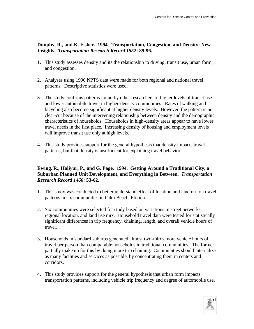#### **Dunphy, R., and K. Fisher. 1994. Transportation, Congestion, and Density: New Insights.** *Transportation Research Record 1552***: 89-96.**

- 1. This study assesses density and its the relationship to driving, transit use, urban form, and congestion.
- 2. Analyses using 1990 NPTS data were made for both regional and national travel patterns. Descriptive statistics were used.
- 3. The study confirms patterns found by other researchers of higher levels of transit use and lower automobile travel in higher-density communities. Rates of walking and bicycling also become significant at higher density levels. However, the pattern is not clear-cut because of the intervening relationship between density and the demographic characteristics of households. Households in high-density areas appear to have lower travel needs in the first place. Increasing density of housing and employment levels will improve transit use only at high levels.
- 4. This study provides support for the general hypothesis that density impacts travel patterns, but that density is insufficient for explaining travel behavior.

#### **Ewing, R., Haliyur, P., and G. Page. 1994. Getting Around a Traditional City, a Suburban Planned Unit Development, and Everything in Between.** *Transportation Research Record 1466***: 53-62.**

- 1. This study was conducted to better understand effect of location and land use on travel patterns in six communities in Palm Beach, Florida.
- 2. Six communities were selected for study based on variations in street networks, regional location, and land use mix. Household travel data were tested for statistically significant differences in trip frequency, chaining, length, and overall vehicle hours of travel.
- 3. Households in standard suburbs generated almost two-thirds more vehicle hours of travel per person than comparable households in traditional communities. The former partially make up for this by doing more trip chaining. Communities should internalize as many facilities and services as possible, by concentrating them in centers and corridors.
- 4. This study provides support for the general hypothesis that urban form impacts transportation patterns, including vehicle trip frequency and degree of automobile use.

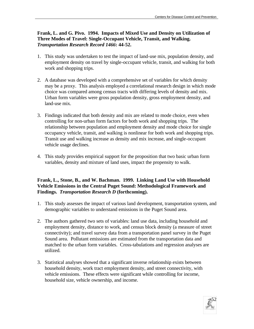#### **Frank, L. and G. Pivo. 1994. Impacts of Mixed Use and Density on Utilization of Three Modes of Travel: Single-Occupant Vehicle, Transit, and Walking.**  *Transportation Research Record 1466***: 44-52.**

- 1. This study was undertaken to test the impact of land-use mix, population density, and employment density on travel by single-occupant vehicle, transit, and walking for both work and shopping trips.
- 2. A database was developed with a comprehensive set of variables for which density may be a proxy. This analysis employed a correlational research design in which mode choice was compared among census tracts with differing levels of density and mix. Urban form variables were gross population density, gross employment density, and land-use mix.
- 3. Findings indicated that both density and mix are related to mode choice, even when controlling for non-urban form factors for both work and shopping trips. The relationship between population and employment density and mode choice for single occupancy vehicle, transit, and walking is nonlinear for both work and shopping trips. Transit use and walking increase as density and mix increase, and single-occupant vehicle usage declines.
- 4. This study provides empirical support for the proposition that two basic urban form variables, density and mixture of land uses, impact the propensity to walk.

#### **Frank, L., Stone, B., and W. Bachman. 1999. Linking Land Use with Household Vehicle Emissions in the Central Puget Sound: Methodological Framework and Findings.** *Transportation Research D* **(forthcoming).**

- 1. This study assesses the impact of various land development, transportation system, and demographic variables to understand emissions in the Puget Sound area.
- 2. The authors gathered two sets of variables: land use data, including household and employment density, distance to work, and census block density (a measure of street connectivity); and travel survey data from a transportation panel survey in the Puget Sound area. Pollutant emissions are estimated from the transportation data and matched to the urban form variables. Cross-tabulations and regression analyses are utilized.
- 3. Statistical analyses showed that a significant inverse relationship exists between household density, work tract employment density, and street connectivity, with vehicle emissions. These effects were significant while controlling for income, household size, vehicle ownership, and income.

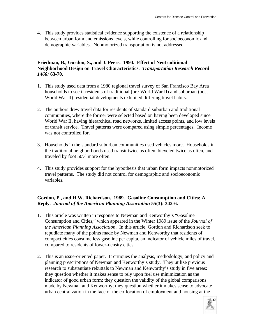4. This study provides statistical evidence supporting the existence of a relationship between urban form and emissions levels, while controlling for socioeconomic and demographic variables. Nonmotorized transportation is not addressed.

#### **Friedman, B., Gordon, S., and J. Peers. 1994. Effect of Neotraditional Neighborhood Design on Travel Characteristics.** *Transportation Research Record 1466:* **63-70.**

- 1. This study used data from a 1980 regional travel survey of San Francisco Bay Area households to see if residents of traditional (pre-World War II) and suburban (post-World War II) residential developments exhibited differing travel habits.
- 2. The authors drew travel data for residents of standard suburban and traditional communities, where the former were selected based on having been developed since World War II, having hierarchical road networks, limited access points, and low levels of transit service. Travel patterns were compared using simple percentages. Income was not controlled for.
- 3. Households in the standard suburban communities used vehicles more. Households in the traditional neighborhoods used transit twice as often, bicycled twice as often, and traveled by foot 50% more often.
- 4. This study provides support for the hypothesis that urban form impacts nonmotorized travel patterns. The study did not control for demographic and socioeconomic variables.

#### **Gordon, P., and H.W. Richardson. 1989. Gasoline Consumption and Cities: A Reply***. Journal of the American Planning Association* **55(3): 342-6.**

- 1. This article was written in response to Newman and Kenworthy's "Gasoline Consumption and Cities," which appeared in the Winter 1989 issue of the *Journal of the American Planning Association*. In this article, Gordon and Richardson seek to repudiate many of the points made by Newman and Kenworthy that residents of compact cities consume less gasoline per capita, an indicator of vehicle miles of travel, compared to residents of lower-density cities.
- 2. This is an issue-oriented paper. It critiques the analysis, methodology, and policy and planning prescriptions of Newman and Kenworthy's study. They utilize previous research to substantiate rebuttals to Newman and Kenworthy's study in five areas: they question whether it makes sense to rely upon fuel use minimization as the indicator of good urban form; they question the validity of the global comparisons made by Newman and Kenworthy; they question whether it makes sense to advocate urban centralization in the face of the co-location of employment and housing at the

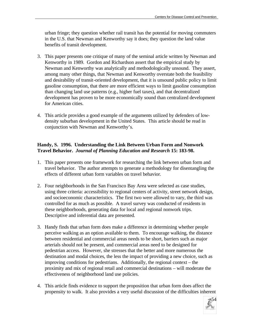urban fringe; they question whether rail transit has the potential for moving commuters in the U.S. that Newman and Kenworthy say it does; they question the land value benefits of transit development.

- 3. This paper presents one critique of many of the seminal article written by Newman and Kenworthy in 1989. Gordon and Richardson assert that the empirical study by Newman and Kenworthy was analytically and methodologically unsound. They assert, among many other things, that Newman and Kenworthy overstate both the feasibility and desirability of transit-oriented development, that it is unsound public policy to limit gasoline consumption, that there are more efficient ways to limit gasoline consumption than changing land use patterns (e.g., higher fuel taxes), and that decentralized development has proven to be more economically sound than centralized development for American cities.
- 4. This article provides a good example of the arguments utilized by defenders of lowdensity suburban development in the United States. This article should be read in conjunction with Newman and Kenworthy's.

#### **Handy, S. 1996. Understanding the Link Between Urban Form and Nonwork Travel Behavior.** *Journal of Planning Education and Research* **15: 183-98.**

- 1. This paper presents one framework for researching the link between urban form and travel behavior. The author attempts to generate a methodology for disentangling the effects of different urban form variables on travel behavior.
- 2. Four neighborhoods in the San Francisco Bay Area were selected as case studies, using three criteria: accessibility to regional centers of activity, street network design, and socioeconomic characteristics. The first two were allowed to vary, the third was controlled for as much as possible. A travel survey was conducted of residents in these neighborhoods, generating data for local and regional nonwork trips. Descriptive and inferential data are presented.
- 3. Handy finds that urban form does make a difference in determining whether people perceive walking as an option available to them. To encourage walking, the distance between residential and commercial areas needs to be short, barriers such as major arterials should not be present, and commercial areas need to be designed for pedestrian access. However, she stresses that the better and more numerous the destination and modal choices, the less the impact of providing a new choice, such as improving conditions for pedestrians. Additionally, the regional context – the proximity and mix of regional retail and commercial destinations – will moderate the effectiveness of neighborhood land use policies.
- 4. This article finds evidence to support the proposition that urban form does affect the propensity to walk. It also provides a very useful discussion of the difficulties inherent

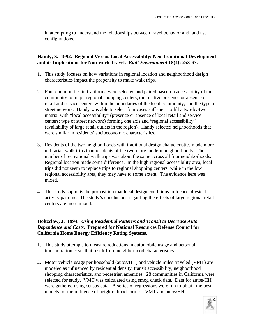in attempting to understand the relationships between travel behavior and land use configurations.

#### **Handy, S. 1992. Regional Versus Local Accessibility: Neo-Traditional Development and its Implications for Non-work Travel.** *Built Environment* **18(4): 253-67.**

- 1. This study focuses on how variations in regional location and neighborhood design characteristics impact the propensity to make walk trips.
- 2. Four communities in California were selected and paired based on accessibility of the community to major regional shopping centers, the relative presence or absence of retail and service centers within the boundaries of the local community, and the type of street network. Handy was able to select four cases sufficient to fill a two-by-two matrix, with "local accessibility" (presence or absence of local retail and service centers; type of street network) forming one axis and "regional accessibility" (availability of large retail outlets in the region). Handy selected neighborhoods that were similar in residents' socioeconomic characteristics.
- 3. Residents of the two neighborhoods with traditional design characteristics made more utilitarian walk trips than residents of the two more modern neighborhoods. The number of recreational walk trips was about the same across all four neighborhoods. Regional location made some difference. In the high regional accessibility area, local trips did not seem to replace trips to regional shopping centers, while in the low regional accessibility area, they may have to some extent. The evidence here was mixed.
- 4. This study supports the proposition that local design conditions influence physical activity patterns. The study's conclusions regarding the effects of large regional retail centers are more mixed.

#### **Holtzclaw, J. 1994.** *Using Residential Patterns and Transit to Decrease Auto Dependence and Costs***. Prepared for National Resources Defense Council for California Home Energy Efficiency Rating Systems.**

- 1. This study attempts to measure reductions in automobile usage and personal transportation costs that result from neighborhood characteristics.
- 2. Motor vehicle usage per household (autos/HH) and vehicle miles traveled (VMT) are modeled as influenced by residential density, transit accessibility, neighborhood shopping characteristics, and pedestrian amenities. 28 communities in California were selected for study. VMT was calculated using smog check data. Data for autos/HH were gathered using census data. A series of regressions were run to obtain the best models for the influence of neighborhood form on VMT and autos/HH.

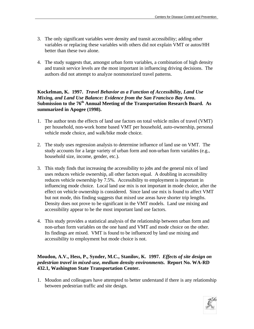- 3. The only significant variables were density and transit accessibility; adding other variables or replacing these variables with others did not explain VMT or autos/HH better than these two alone.
- 4. The study suggests that, amongst urban form variables, a combination of high density and transit service levels are the most important in influencing driving decisions. The authors did not attempt to analyze nonmotorized travel patterns.

#### **Kockelman, K. 1997.** *Travel Behavior as a Function of Accessibility, Land Use Mixing, and Land Use Balance: Evidence from the San Francisco Bay Area***. Submission to the 76th Annual Meeting of the Transportation Research Board. As summarized in Apogee (1998).**

- 1. The author tests the effects of land use factors on total vehicle miles of travel (VMT) per household, non-work home based VMT per household, auto-ownership, personal vehicle mode choice, and walk/bike mode choice.
- 2. The study uses regression analysis to determine influence of land use on VMT. The study accounts for a large variety of urban form and non-urban form variables (e.g., household size, income, gender, etc.).
- 3. This study finds that increasing the accessibility to jobs and the general mix of land uses reduces vehicle ownership, all other factors equal. A doubling in accessibility reduces vehicle ownership by 7.5%. Accessibility to employment is important in influencing mode choice. Local land use mix is not important in mode choice, after the effect on vehicle ownership is considered. Since land use mix is found to affect VMT but not mode, this finding suggests that mixed use areas have shorter trip lengths. Density does not prove to be significant in the VMT models. Land use mixing and accessibility appear to be the most important land use factors.
- 4. This study provides a statistical analysis of the relationship between urban form and non-urban form variables on the one hand and VMT and mode choice on the other. Its findings are mixed. VMT is found to be influenced by land use mixing and accessibility to employment but mode choice is not.

#### **Moudon, A.V., Hess, P., Synder, M.C., Stanilov, K. 1997.** *Effects of site design on pedestrian travel in mixed-use, medium density environments***. Report No. WA-RD 432.1, Washington State Transportation Center.**

1. Moudon and colleagues have attempted to better understand if there is any relationship between pedestrian traffic and site design.

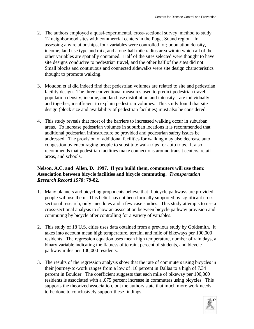- 2. The authors employed a quasi-experimental, cross-sectional survey method to study 12 neighborhood sites with commercial centers in the Puget Sound region. In assessing any relationships, four variables were controlled for; population density, income, land use type and mix, and a one-half mile radius area within which all of the other variables are spatially contained. Half of the sites selected were thought to have site designs conducive to pedestrian travel, and the other half of the sites did not. Small blocks and continuous and connected sidewalks were site design characteristics thought to promote walking.
- 3. Moudon et al did indeed find that pedestrian volumes are related to site and pedestrian facility design. The three conventional measures used to predict pedestrian travel – population density, income, and land use distribution and intensity - are individually and together, insufficient to explain pedestrian volumes. This study found that site design (block size and availability of pedestrian facilities) must also be considered.
- 4. This study reveals that most of the barriers to increased walking occur in suburban areas. To increase pedestrian volumes in suburban locations it is recommended that additional pedestrian infrastructure be provided and pedestrian safety issues be addressed. The provision of additional facilities for walking may also decrease auto congestion by encouraging people to substitute walk trips for auto trips. It also recommends that pedestrian facilities make connections around transit centers, retail areas, and schools.

#### **Nelson, A.C. and Allen, D. 1997. If you build them, commuters will use them: Association between bicycle facilities and bicycle commuting.** *Transportation Research Record 1578***: 79-82.**

- 1. Many planners and bicycling proponents believe that if bicycle pathways are provided, people will use them. This belief has not been formally supported by significant crosssectional research, only anecdotes and a few case studies. This study attempts to use a cross-sectional analysis to show an association between bicycle pathway provision and commuting by bicycle after controlling for a variety of variables.
- 2. This study of 18 U.S. cities uses data obtained from a previous study by Goldsmith. It takes into account mean high temperature, terrain, and mile of bikeways per 100,000 residents. The regression equation uses mean high temperature, number of rain days, a binary variable indicating the flatness of terrain, percent of students, and bicycle pathway miles per 100,000 residents.
- 3. The results of the regression analysis show that the rate of commuters using bicycles in their journey-to-work ranges from a low of .16 percent in Dallas to a high of 7.34 percent in Boulder. The coefficient suggests that each mile of bikeway per 100,000 residents is associated with a .075 percent increase in commuters using bicycles. This supports the theorized association, but the authors state that much more work needs to be done to conclusively support these findings.

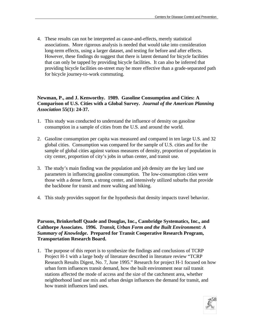4. These results can not be interpreted as cause-and-effects, merely statistical associations. More rigorous analysis is needed that would take into consideration long-term effects, using a larger dataset, and testing for before and after effects. However, these findings do suggest that there is latent demand for bicycle facilities that can only be tapped by providing bicycle facilities. It can also be inferred that providing bicycle facilities on-street may be more effective than a grade-separated path for bicycle journey-to-work commuting.

#### **Newman, P., and J. Kenworthy. 1989. Gasoline Consumption and Cities: A Comparison of U.S. Cities with a Global Survey.** *Journal of the American Planning Association* **55(1): 24-37.**

- 1. This study was conducted to understand the influence of density on gasoline consumption in a sample of cities from the U.S. and around the world.
- 2. Gasoline consumption per capita was measured and compared in ten large U.S. and 32 global cities. Consumption was compared for the sample of U.S. cities and for the sample of global cities against various measures of density, proportion of population in city center, proportion of city's jobs in urban center, and transit use.
- 3. The study's main finding was the population and job density are the key land use parameters in influencing gasoline consumption. The low-consumption cities were those with a dense form, a strong center, and intensively utilized suburbs that provide the backbone for transit and more walking and biking.
- 4. This study provides support for the hypothesis that density impacts travel behavior.

**Parsons, Brinkerhoff Quade and Douglas, Inc., Cambridge Systematics, Inc., and Calthorpe Associates. 1996.** *Transit, Urban Form and the Built Environment: A Summary of Knowledge***. Prepared for Transit Cooperative Research Program, Transportation Research Board.** 

1. The purpose of this report is to synthesize the findings and conclusions of TCRP Project H-1 with a large body of literature described in literature review "TCRP Research Results Digest, No. 7, June 1995." Research for project H-1 focused on how urban form influences transit demand, how the built environment near rail transit stations affected the mode of access and the size of the catchment area, whether neighborhood land use mix and urban design influences the demand for transit, and how transit influences land uses.

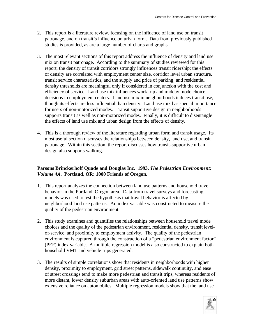- 2. This report is a literature review, focusing on the influence of land use on transit patronage, and on transit's influence on urban form. Data from previously published studies is provided, as are a large number of charts and graphs.
- 3. The most relevant sections of this report address the influence of density and land use mix on transit patronage. According to the summary of studies reviewed for this report, the density of transit corridors strongly influences transit ridership; the effects of density are correlated with employment center size, corridor level urban structure, transit service characteristics, and the supply and price of parking; and residential density thresholds are meaningful only if considered in conjunction with the cost and efficiency of service. Land use mix influences work trip and midday mode choice decisions in employment centers. Land use mix in neighborhoods induces transit use, though its effects are less influential than density. Land use mix has special importance for users of non-motorized modes. Transit supportive design in neighborhoods supports transit as well as non-motorized modes. Finally, it is difficult to disentangle the effects of land use mix and urban design from the effects of density.
- 4. This is a thorough review of the literature regarding urban form and transit usage. Its most useful section discusses the relationships between density, land use, and transit patronage. Within this section, the report discusses how transit-supportive urban design also supports walking.

#### **Parsons Brinckerhoff Quade and Douglas Inc. 1993.** *The Pedestrian Environment: Volume 4A***. Portland, OR: 1000 Friends of Oregon.**

- 1. This report analyzes the connection between land use patterns and household travel behavior in the Portland, Oregon area. Data from travel surveys and forecasting models was used to test the hypothesis that travel behavior is affected by neighborhood land use patterns. An index variable was constructed to measure the quality of the pedestrian environment.
- 2. This study examines and quantifies the relationships between household travel mode choices and the quality of the pedestrian environment, residential density, transit levelof-service, and proximity to employment activity. The quality of the pedestrian environment is captured through the construction of a "pedestrian environment factor" (PEF) index variable. A multiple regression model is also constructed to explain both household VMT and vehicle trips generated.
- 3. The results of simple correlations show that residents in neighborhoods with higher density, proximity to employment, grid street patterns, sidewalk continuity, and ease of street crossings tend to make more pedestrian and transit trips, whereas residents of more distant, lower density suburban areas with auto-oriented land use patterns show extensive reliance on automobiles. Multiple regression models show that the land use

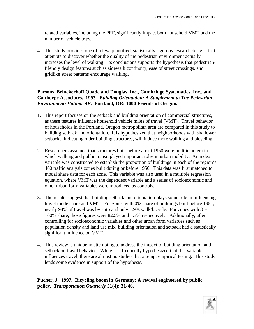related variables, including the PEF, significantly impact both household VMT and the number of vehicle trips.

4. This study provides one of a few quantified, statistically rigorous research designs that attempts to discover whether the quality of the pedestrian environment actually increases the level of walking. Its conclusions supports the hypothesis that pedestrianfriendly design features such as sidewalk continuity, ease of street crossings, and gridlike street patterns encourage walking.

#### **Parsons, Brinckerhoff Quade and Douglas, Inc., Cambridge Systematics, Inc., and Calthorpe Associates. 1993.** *Building Orientation: A Supplement to The Pedestrian Environment: Volume 4B.* **Portland, OR: 1000 Friends of Oregon.**

- 1. This report focuses on the setback and building orientation of commercial structures, as these features influence household vehicle miles of travel (VMT). Travel behavior of households in the Portland, Oregon metropolitan area are compared in this study to building setback and orientation. It is hypothesized that neighborhoods with shallower setbacks, indicating older building structures, will induce more walking and bicycling.
- 2. Researchers assumed that structures built before about 1950 were built in an era in which walking and public transit played important roles in urban mobility. An index variable was constructed to establish the proportion of buildings in each of the region's 400 traffic analysis zones built during or before 1950. This data was first matched to modal share data for each zone. This variable was also used in a multiple regression equation, where VMT was the dependent variable and a series of socioeconomic and other urban form variables were introduced as controls.
- 3. The results suggest that building setback and orientation plays some role in influencing travel mode share and VMT. For zones with 0% share of buildings built before 1951, nearly 94% of travel was by auto and only 1.9% walk/bicycle. For zones with 81- 100% share, those figures were 82.5% and 5.3% respectively. Additionally, after controlling for socioeconomic variables and other urban form variables such as population density and land use mix, building orientation and setback had a statistically significant influence on VMT.
- 4. This review is unique in attempting to address the impact of building orientation and setback on travel behavior. While it is frequently hypothesized that this variable influences travel, there are almost no studies that attempt empirical testing. This study lends some evidence in support of the hypothesis.

#### **Pucher, J. 1997. Bicycling boom in Germany: A revival engineered by public policy.** *Transportation Quarterly* **51(4): 31-46.**

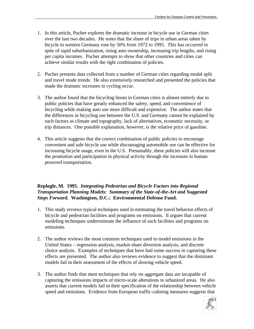- 1. In this article, Pucher explores the dramatic increase in bicycle use in German cities over the last two decades. He notes that the share of trips in urban areas taken by bicycle in western Germany rose by 50% from 1972 to 1995. This has occurred in spite of rapid suburbanization, rising auto ownership, increasing trip lengths, and rising per capita incomes. Pucher attempts to show that other countries and cities can achieve similar results with the right combination of policies.
- 2. Pucher presents data collected from a number of German cities regarding modal split and travel mode trends. He also extensively researched and presented the policies that made the dramatic increases in cycling occur.
- 3. The author found that the bicycling boom in German cities is almost entirely due to public policies that have greatly enhanced the safety, speed, and convenience of bicycling while making auto use more difficult and expensive. The author states that the differences in bicycling use between the U.S. and Germany cannot be explained by such factors as climate and topography, lack of alternatives, economic necessity, or trip distances. One possible explanation, however, is the relative price of gasoline.
- 4. This article suggests that the correct combination of public policies to encourage convenient and safe bicycle use while discouraging automobile use can be effective for increasing bicycle usage, even in the U.S. Presumably, these policies will also increase the promotion and participation in physical activity through the increases in human powered transportation.

#### **Replogle, M. 1995.** *Integrating Pedestrian and Bicycle Factors into Regional Transportation Planning Models: Summary of the State-of-the-Art and Suggested Steps Forward***. Washington, D.C.: Environmental Defense Fund.**

- 1. This study reviews typical techniques used in estimating the travel behavior effects of bicycle and pedestrian facilities and programs on emissions. It argues that current modeling techniques underestimate the influence of such facilities and programs on emissions.
- 2. The author reviews the most common techniques used to model emissions in the United States – regression analysis, market-share diversion analysis, and discrete choice analysis. Examples of techniques that have had some success in capturing these effects are presented. The author also reviews evidence to suggest that the dominant models fail in their assessment of the effects of slowing vehicle speed.
- 3. The author finds that most techniques that rely on aggregate data are incapable of capturing the emissions impacts of micro-scale alterations to urbanized areas. He also asserts that current models fail in their specification of the relationship between vehicle speed and emissions. Evidence from European traffic-calming measures suggests that

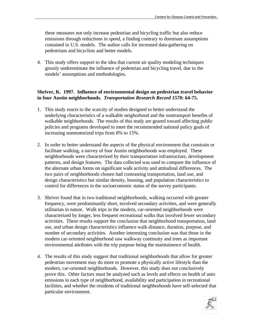these measures not only increase pedestrian and bicycling traffic but also reduce emissions through reductions in speed, a finding contrary to dominant assumptions contained in U.S. models. The author calls for increased data-gathering on pedestrians and bicyclists and better models.

4. This study offers support to the idea that current air quality modeling techniques grossly underestimate the influence of pedestrian and bicycling travel, due to the models' assumptions and methodologies.

#### **Shriver, K. 1997. Influence of environmental design on pedestrian travel behavior in four Austin neighborhoods.** *Transportation Research Record 1578***: 64-75.**

- 1. This study reacts to the scarcity of studies designed to better understand the underlying characteristics of a walkable neighorhood and the nontransport benefits of walkable neighborhoods. The results of this study are geared toward affecting public policies and programs developed to meet the recommended national policy goals of increasing nonmotorized trips from 8% to 15%.
- 2. In order to better understand the aspects of the physical environment that constrain or facilitate walking, a survey of four Austin neighborhoods was employed. These neighborhoods were characterized by their transportation infrastructure, development patterns, and design features. The data collected was used to compare the influence of the alternate urban forms on significant walk activity and attitudinal differences. The two pairs of neighborhoods chosen had contrasting transportation, land use, and design characteristics but similar density, housing, and population characteristics to control for differences in the socioeconomic status of the survey participants.
- 3. Shriver found that in two traditional neighborhoods, walking occurred with greater frequency, were predominantly short, involved secondary activities, and were generally utilitarian in nature. Walk trips in the modern, car-oriented neighborhoods were characterized by longer, less frequent recreational walks that involved fewer secondary activities. These results support the conclusion that neighborhood transportation, land use, and urban design characteristics influence walk distance, duration, purpose, and number of secondary activities. Another interesting conclusion was that those in the modern car-oriented neighborhood saw walkway continuity and trees as important environmental attributes with the trip purpose being the maintainence of health.
- 4. The results of this study suggest that traditional neighborhoods that allow for greater pedestrian movement may do more to promote a physically active lifestyle than the modern, car-oriented neighborhoods. However, this study does not conclusively prove this. Other factors must be analyzed such as levels and effects on health of auto emissions in each type of neighborhood, availability and participation in recreational facilities, and whether the residents of traditional neighborhoods have self-selected that particular environment.